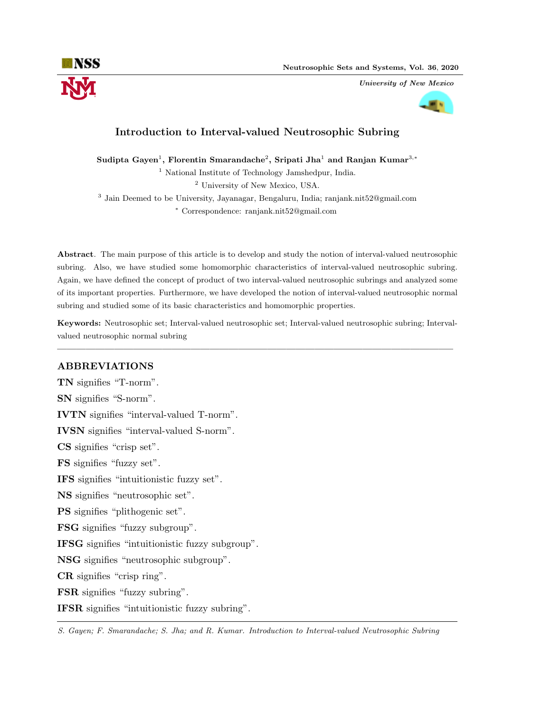

University of New Mexico



# Introduction to Interval-valued Neutrosophic Subring

Sudipta Gayen $^1$ , Florentin Smarandache $^2$ , Sripati Jha $^1$  and Ranjan Kumar $^{3,\ast}$ 

<sup>1</sup> National Institute of Technology Jamshedpur, India.

<sup>2</sup> University of New Mexico, USA.

3 Jain Deemed to be University, Jayanagar, Bengaluru, India; ranjank.nit52@gmail.com

<sup>∗</sup> Correspondence: ranjank.nit52@gmail.com

Abstract. The main purpose of this article is to develop and study the notion of interval-valued neutrosophic subring. Also, we have studied some homomorphic characteristics of interval-valued neutrosophic subring. Again, we have defined the concept of product of two interval-valued neutrosophic subrings and analyzed some of its important properties. Furthermore, we have developed the notion of interval-valued neutrosophic normal subring and studied some of its basic characteristics and homomorphic properties.

Keywords: Neutrosophic set; Interval-valued neutrosophic set; Interval-valued neutrosophic subring; Intervalvalued neutrosophic normal subring

—————————————————————————————————————————–

# ABBREVIATIONS

TN signifies "T-norm". SN signifies "S-norm". IVTN signifies "interval-valued T-norm". IVSN signifies "interval-valued S-norm". CS signifies "crisp set". FS signifies "fuzzy set". IFS signifies "intuitionistic fuzzy set". NS signifies "neutrosophic set". PS signifies "plithogenic set". FSG signifies "fuzzy subgroup". IFSG signifies "intuitionistic fuzzy subgroup". NSG signifies "neutrosophic subgroup". CR signifies "crisp ring". FSR signifies "fuzzy subring". IFSR signifies "intuitionistic fuzzy subring".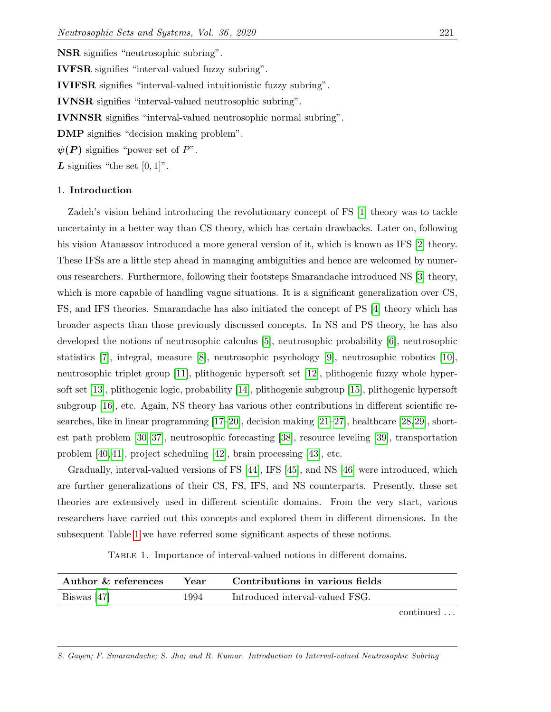NSR signifies "neutrosophic subring".

IVFSR signifies "interval-valued fuzzy subring".

IVIFSR signifies "interval-valued intuitionistic fuzzy subring".

IVNSR signifies "interval-valued neutrosophic subring".

IVNNSR signifies "interval-valued neutrosophic normal subring".

DMP signifies "decision making problem".

 $\psi(P)$  signifies "power set of P".

 $\boldsymbol{L}$  signifies "the set  $[0, 1]$ ".

#### 1. Introduction

Zadeh's vision behind introducing the revolutionary concept of FS [\[1\]](#page-21-0) theory was to tackle uncertainty in a better way than CS theory, which has certain drawbacks. Later on, following his vision Atanassov introduced a more general version of it, which is known as IFS [\[2\]](#page-21-1) theory. These IFSs are a little step ahead in managing ambiguities and hence are welcomed by numerous researchers. Furthermore, following their footsteps Smarandache introduced NS [\[3\]](#page-21-2) theory, which is more capable of handling vague situations. It is a significant generalization over CS, FS, and IFS theories. Smarandache has also initiated the concept of PS [\[4\]](#page-21-3) theory which has broader aspects than those previously discussed concepts. In NS and PS theory, he has also developed the notions of neutrosophic calculus [\[5\]](#page-21-4), neutrosophic probability [\[6\]](#page-22-0), neutrosophic statistics [\[7\]](#page-22-1), integral, measure [\[8\]](#page-22-2), neutrosophic psychology [\[9\]](#page-22-3), neutrosophic robotics [\[10\]](#page-22-4), neutrosophic triplet group [\[11\]](#page-22-5), plithogenic hypersoft set [\[12\]](#page-22-6), plithogenic fuzzy whole hypersoft set [\[13\]](#page-22-7), plithogenic logic, probability [\[14\]](#page-22-8), plithogenic subgroup [\[15\]](#page-22-9), plithogenic hypersoft subgroup [\[16\]](#page-22-10), etc. Again, NS theory has various other contributions in different scientific researches, like in linear programming [\[17–](#page-22-11)[20\]](#page-22-12), decision making [\[21–](#page-22-13)[27\]](#page-22-14), healthcare [\[28,](#page-23-0)[29\]](#page-23-1), shortest path problem [\[30–](#page-23-2)[37\]](#page-23-3), neutrosophic forecasting [\[38\]](#page-23-4), resource leveling [\[39\]](#page-23-5), transportation problem [\[40,](#page-23-6) [41\]](#page-23-7), project scheduling [\[42\]](#page-23-8), brain processing [\[43\]](#page-23-9), etc.

Gradually, interval-valued versions of FS [\[44\]](#page-23-10), IFS [\[45\]](#page-23-11), and NS [\[46\]](#page-23-12) were introduced, which are further generalizations of their CS, FS, IFS, and NS counterparts. Presently, these set theories are extensively used in different scientific domains. From the very start, various researchers have carried out this concepts and explored them in different dimensions. In the subsequent Table [1](#page-1-0) we have referred some significant aspects of these notions.

Table 1. Importance of interval-valued notions in different domains.

<span id="page-1-0"></span>

| Author & references | Year | Contributions in various fields |
|---------------------|------|---------------------------------|
| Biswas [47]         | 1994 | Introduced interval-valued FSG. |

continued . . .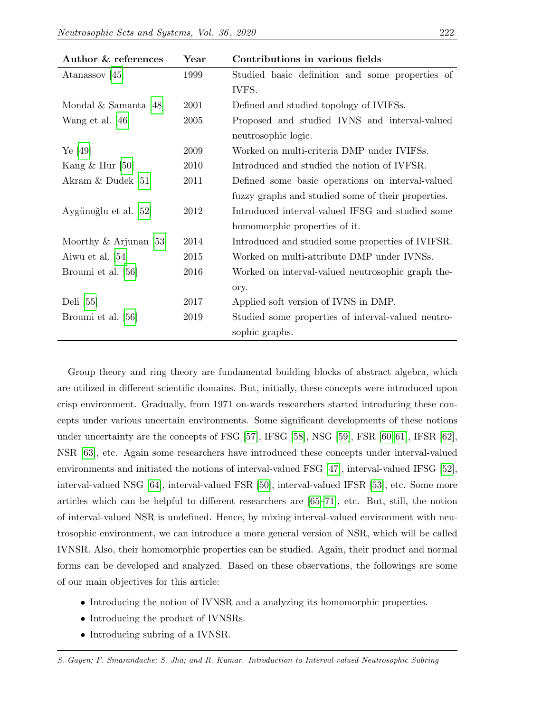| Author & references       | Year | Contributions in various fields                    |  |
|---------------------------|------|----------------------------------------------------|--|
| Atanassov $[45]$          | 1999 | Studied basic definition and some properties of    |  |
|                           |      | IVFS.                                              |  |
| Mondal $&$ Samanta [48]   | 2001 | Defined and studied topology of IVIFSs.            |  |
| Wang et al. $[46]$        | 2005 | Proposed and studied IVNS and interval-valued      |  |
|                           |      | neutrosophic logic.                                |  |
| Ye [49]                   | 2009 | Worked on multi-criteria DMP under IVIFSs.         |  |
| Kang $\&$ Hur [50]        | 2010 | Introduced and studied the notion of IVFSR.        |  |
| Akram $&$ Dudek [51]      | 2011 | Defined some basic operations on interval-valued   |  |
|                           |      | fuzzy graphs and studied some of their properties. |  |
| Aygünoğlu et al. [52]     | 2012 | Introduced interval-valued IFSG and studied some   |  |
|                           |      | homomorphic properties of it.                      |  |
| Moorthy $\&$ Arjunan [53] | 2014 | Introduced and studied some properties of IVIFSR.  |  |
| Aiwu et al. [54]          | 2015 | Worked on multi-attribute DMP under IVNSs.         |  |
| Broumi et al. [56]        | 2016 | Worked on interval-valued neutrosophic graph the-  |  |
|                           |      | ory.                                               |  |
| Deli $[55]$               | 2017 | Applied soft version of IVNS in DMP.               |  |
| Broumi et al. [56]        | 2019 | Studied some properties of interval-valued neutro- |  |
|                           |      | sophic graphs.                                     |  |

Group theory and ring theory are fundamental building blocks of abstract algebra, which are utilized in different scientific domains. But, initially, these concepts were introduced upon crisp environment. Gradually, from 1971 on-wards researchers started introducing these concepts under various uncertain environments. Some significant developments of these notions under uncertainty are the concepts of FSG [\[57\]](#page-24-8), IFSG [\[58\]](#page-24-9), NSG [\[59\]](#page-24-10), FSR [\[60,](#page-24-11) [61\]](#page-24-12), IFSR [\[62\]](#page-24-13), NSR [\[63\]](#page-24-14), etc. Again some researchers have introduced these concepts under interval-valued environments and initiated the notions of interval-valued FSG [\[47\]](#page-23-13), interval-valued IFSG [\[52\]](#page-24-3), interval-valued NSG [\[64\]](#page-24-15), interval-valued FSR [\[50\]](#page-24-1), interval-valued IFSR [\[53\]](#page-24-4), etc. Some more articles which can be helpful to different researchers are [\[65–](#page-24-16)[71\]](#page-24-17), etc. But, still, the notion of interval-valued NSR is undefined. Hence, by mixing interval-valued environment with neutrosophic environment, we can introduce a more general version of NSR, which will be called IVNSR. Also, their homomorphic properties can be studied. Again, their product and normal forms can be developed and analyzed. Based on these observations, the followings are some of our main objectives for this article:

- Introducing the notion of IVNSR and a analyzing its homomorphic properties.
- Introducing the product of IVNSRs.
- Introducing subring of a IVNSR.

S. Gayen; F. Smarandache; S. Jha; and R. Kumar. Introduction to Interval-valued Neutrosophic Subring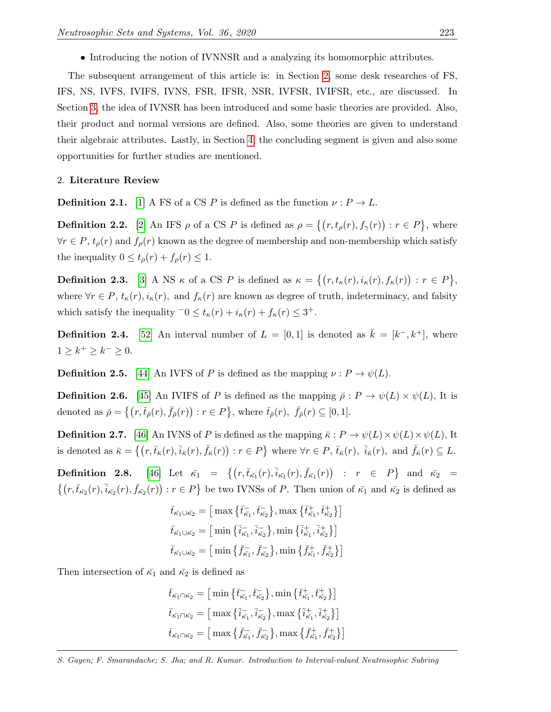• Introducing the notion of IVNNSR and a analyzing its homomorphic attributes.

The subsequent arrangement of this article is: in Section [2,](#page-3-0) some desk researches of FS, IFS, NS, IVFS, IVIFS, IVNS, FSR, IFSR, NSR, IVFSR, IVIFSR, etc., are discussed. In Section [3,](#page-7-0) the idea of IVNSR has been introduced and some basic theories are provided. Also, their product and normal versions are defined. Also, some theories are given to understand their algebraic attributes. Lastly, in Section [4,](#page-21-5) the concluding segment is given and also some opportunities for further studies are mentioned.

#### <span id="page-3-0"></span>2. Literature Review

**Definition 2.1.** [\[1\]](#page-21-0) A FS of a CS P is defined as the function  $\nu : P \to L$ .

**Definition 2.2.** [\[2\]](#page-21-1) An IFS  $\rho$  of a CS P is defined as  $\rho = \{(r, t_{\rho}(r), f_{\gamma}(r)) : r \in P\}$ , where  $\forall r \in P$ ,  $t_{\rho}(r)$  and  $f_{\rho}(r)$  known as the degree of membership and non-membership which satisfy the inequality  $0 \leq t_{\rho}(r) + f_{\rho}(r) \leq 1$ .

**Definition 2.3.** [\[3\]](#page-21-2) A NS  $\kappa$  of a CS P is defined as  $\kappa = \{(r, t_{\kappa}(r), i_{\kappa}(r), f_{\kappa}(r)) : r \in P\},\$ where  $\forall r \in P$ ,  $t_{\kappa}(r)$ ,  $i_{\kappa}(r)$ , and  $f_{\kappa}(r)$  are known as degree of truth, indeterminacy, and falsity which satisfy the inequality  $-0 \le t_{\kappa}(r) + i_{\kappa}(r) + f_{\kappa}(r) \le 3^+$ .

**Definition 2.4.** [\[52\]](#page-24-3) An interval number of  $L = [0, 1]$  is denoted as  $\bar{k} = [k^-, k^+]$ , where  $1 \geq k^+ \geq k^- \geq 0.$ 

**Definition 2.5.** [\[44\]](#page-23-10) An IVFS of P is defined as the mapping  $\nu : P \to \psi(L)$ .

**Definition 2.6.** [\[45\]](#page-23-11) An IVIFS of P is defined as the mapping  $\bar{\rho}: P \to \psi(L) \times \psi(L)$ , It is denoted as  $\bar{\rho} = \left\{ (r, \bar{t}_{\bar{\rho}}(r), \bar{f}_{\bar{\rho}}(r)) : r \in P \right\}$ , where  $\bar{t}_{\bar{\rho}}(r), \bar{f}_{\bar{\rho}}(r) \subseteq [0, 1]$ .

**Definition 2.7.** [\[46\]](#page-23-12) An IVNS of P is defined as the mapping  $\bar{\kappa}: P \to \psi(L) \times \psi(L) \times \psi(L)$ , It is denoted as  $\bar{\kappa} = \{ (r, \bar{t}_{\bar{\kappa}}(r), \bar{i}_{\bar{\kappa}}(r), \bar{f}_{\bar{\kappa}}(r)) : r \in P \}$  where  $\forall r \in P, \bar{t}_{\bar{\kappa}}(r), \bar{i}_{\bar{\kappa}}(r),$  and  $\bar{f}_{\bar{\kappa}}(r) \subseteq L$ .

**Definition 2.8.** [\[46\]](#page-23-12) Let  $\bar{\kappa_1} = \{ (r, \bar{t}_{\bar{\kappa_1}}(r), \bar{i}_{\bar{\kappa_1}}(r), \bar{f}_{\bar{\kappa_1}}(r)) : r \in P \}$  and  $\bar{\kappa_2} =$  $\{(r,\bar{t}_{\kappa_2}(r),\bar{i}_{\kappa_2}(r),\bar{f}_{\kappa_2}(r)):r\in P\}$  be two IVNSs of P. Then union of  $\kappa_1$  and  $\kappa_2$  is defined as

$$
\bar{t}_{\bar{\kappa_1}\cup\bar{\kappa_2}} = \left[\max\left\{\bar{t}_{\bar{\kappa_1}}, \bar{t}_{\bar{\kappa_2}}^-\right\}, \max\left\{\bar{t}_{\bar{\kappa_1}}, \bar{t}_{\bar{\kappa_2}}^+\right\}\right]
$$
\n
$$
\bar{t}_{\bar{\kappa_1}\cup\bar{\kappa_2}} = \left[\min\left\{\bar{i}_{\bar{\kappa_1}}, \bar{i}_{\bar{\kappa_2}}^-\right\}, \min\left\{\bar{i}_{\bar{\kappa_1}}, \bar{i}_{\bar{\kappa_2}}^+\right\}\right]
$$
\n
$$
\bar{t}_{\bar{\kappa_1}\cup\bar{\kappa_2}} = \left[\min\left\{\bar{f}_{\bar{\kappa_1}}, \bar{f}_{\bar{\kappa_2}}^-\right\}, \min\left\{\bar{f}_{\bar{\kappa_1}}, \bar{f}_{\bar{\kappa_2}}^+\right\}\right]
$$

Then intersection of  $\bar{\kappa_1}$  and  $\bar{\kappa_2}$  is defined as

$$
\bar{t}_{\bar{\kappa_1}} \cap \bar{\kappa_2} = \left[ \min \left\{ \bar{t}_{\bar{\kappa_1}}^-, \bar{t}_{\bar{\kappa_2}}^- \right\}, \min \left\{ \bar{t}_{\bar{\kappa_1}}^+, \bar{t}_{\bar{\kappa_2}}^+ \right\} \right]
$$
\n
$$
\bar{t}_{\bar{\kappa_1}} \cap \bar{\kappa_2} = \left[ \max \left\{ \bar{i}_{\bar{\kappa_1}}^-, \bar{i}_{\bar{\kappa_2}}^- \right\}, \max \left\{ \bar{i}_{\bar{\kappa_1}}^+, \bar{i}_{\bar{\kappa_2}}^+ \right\} \right]
$$
\n
$$
\bar{t}_{\bar{\kappa_1}} \cap \bar{\kappa_2} = \left[ \max \left\{ \bar{f}_{\bar{\kappa_1}}^-, \bar{f}_{\bar{\kappa_2}}^- \right\}, \max \left\{ \bar{f}_{\bar{\kappa_1}}^+, \bar{f}_{\bar{\kappa_2}}^+ \right\} \right]
$$

S. Gayen; F. Smarandache; S. Jha; and R. Kumar. Introduction to Interval-valued Neutrosophic Subring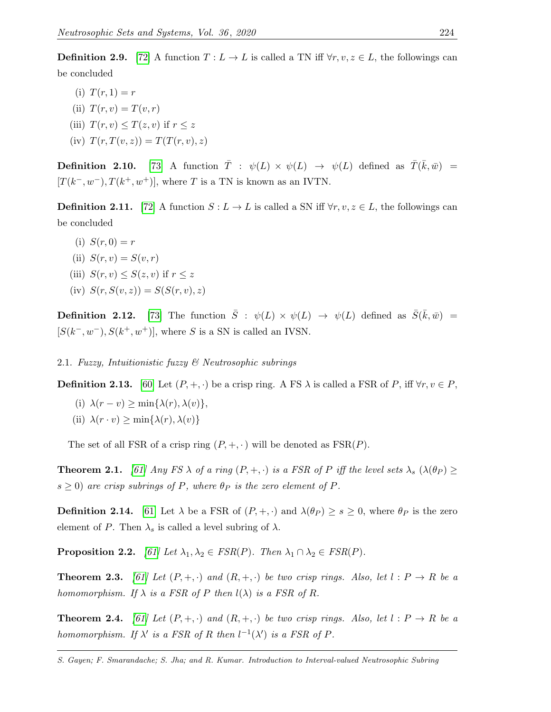**Definition 2.9.** [\[72\]](#page-24-18) A function  $T: L \to L$  is called a TN iff  $\forall r, v, z \in L$ , the followings can be concluded

(i)  $T(r, 1) = r$ (ii)  $T(r, v) = T(v, r)$ (iii)  $T(r, v) \leq T(z, v)$  if  $r \leq z$ (iv)  $T(r, T(v, z)) = T(T(r, v), z)$ 

**Definition 2.10.** [\[73\]](#page-24-19) A function  $\overline{T}$  :  $\psi(L) \times \psi(L) \rightarrow \psi(L)$  defined as  $\overline{T}(\overline{k}, \overline{w})$  =  $[T(k^-, w^-), T(k^+, w^+)]$ , where T is a TN is known as an IVTN.

**Definition 2.11.** [\[72\]](#page-24-18) A function  $S: L \to L$  is called a SN iff  $\forall r, v, z \in L$ , the followings can be concluded

- (i)  $S(r, 0) = r$
- (ii)  $S(r, v) = S(v, r)$
- (iii)  $S(r, v) \leq S(z, v)$  if  $r \leq z$
- (iv)  $S(r, S(v, z)) = S(S(r, v), z)$

**Definition 2.12.** [\[73\]](#page-24-19) The function  $\bar{S}$  :  $\psi(L) \times \psi(L) \rightarrow \psi(L)$  defined as  $\bar{S}(\bar{k}, \bar{w})$  =  $[S(k^-, w^-), S(k^+, w^+)]$ , where S is a SN is called an IVSN.

2.1. Fuzzy, Intuitionistic fuzzy & Neutrosophic subrings

**Definition 2.13.** [\[60\]](#page-24-11) Let  $(P, +, \cdot)$  be a crisp ring. A FS  $\lambda$  is called a FSR of P, iff  $\forall r, v \in P$ ,

(i)  $\lambda(r - v) \ge \min\{\lambda(r), \lambda(v)\},\$ (ii)  $\lambda(r \cdot v) \ge \min\{\lambda(r), \lambda(v)\}\$ 

The set of all FSR of a crisp ring  $(P, +, \cdot)$  will be denoted as  $FSR(P)$ .

**Theorem 2.1.** [\[61\]](#page-24-12) Any FS  $\lambda$  of a ring  $(P, +, \cdot)$  is a FSR of P iff the level sets  $\lambda_s$  ( $\lambda(\theta_P) \ge$  $s \geq 0$ ) are crisp subrings of P, where  $\theta_P$  is the zero element of P.

**Definition 2.14.** [\[61\]](#page-24-12) Let  $\lambda$  be a FSR of  $(P, +, \cdot)$  and  $\lambda(\theta_P) \ge s \ge 0$ , where  $\theta_P$  is the zero element of P. Then  $\lambda_s$  is called a level subring of  $\lambda$ .

**Proposition 2.2.** [\[61\]](#page-24-12) Let  $\lambda_1, \lambda_2 \in FSR(P)$ . Then  $\lambda_1 \cap \lambda_2 \in FSR(P)$ .

**Theorem 2.3.** [\[61\]](#page-24-12) Let  $(P, +, \cdot)$  and  $(R, +, \cdot)$  be two crisp rings. Also, let  $l : P \to R$  be a homomorphism. If  $\lambda$  is a FSR of P then  $l(\lambda)$  is a FSR of R.

**Theorem 2.4.** [\[61\]](#page-24-12) Let  $(P, +, \cdot)$  and  $(R, +, \cdot)$  be two crisp rings. Also, let  $l : P \to R$  be a homomorphism. If  $\lambda'$  is a FSR of R then  $l^{-1}(\lambda')$  is a FSR of P.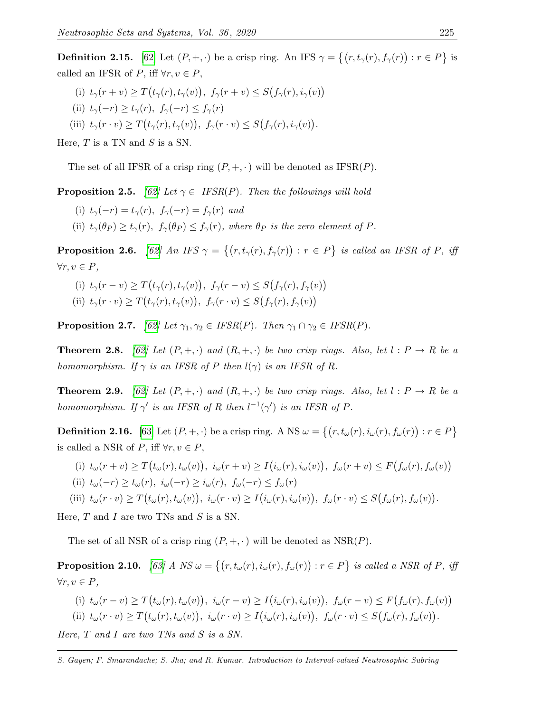**Definition 2.15.** [\[62\]](#page-24-13) Let  $(P, +, \cdot)$  be a crisp ring. An IFS  $\gamma = \{(r, t_\gamma(r), f_\gamma(r)) : r \in P\}$  is called an IFSR of  $P$ , iff  $\forall r, v \in P$ ,

- (i)  $t_\gamma(r+v) \geq T(t_\gamma(r), t_\gamma(v)), f_\gamma(r+v) \leq S(f_\gamma(r), i_\gamma(v))$
- (ii)  $t_\gamma(-r) \ge t_\gamma(r)$ ,  $f_\gamma(-r) \le f_\gamma(r)$
- (iii)  $t_\gamma(r \cdot v) \geq T(t_\gamma(r), t_\gamma(v)), f_\gamma(r \cdot v) \leq S(f_\gamma(r), i_\gamma(v)).$

Here,  $T$  is a TN and  $S$  is a SN.

The set of all IFSR of a crisp ring  $(P, +, \cdot)$  will be denoted as IFSR $(P)$ .

**Proposition 2.5.** [\[62\]](#page-24-13) Let  $\gamma \in \text{IFSR}(P)$ . Then the followings will hold

- (i)  $t_\gamma(-r) = t_\gamma(r)$ ,  $f_\gamma(-r) = f_\gamma(r)$  and
- (ii)  $t_{\gamma}(\theta_P) \ge t_{\gamma}(r)$ ,  $f_{\gamma}(\theta_P) \le f_{\gamma}(r)$ , where  $\theta_P$  is the zero element of P.

**Proposition 2.6.** [\[62\]](#page-24-13) An IFS  $\gamma = \{(r, t_\gamma(r), f_\gamma(r)) : r \in P\}$  is called an IFSR of P, iff  $\forall r, v \in P,$ 

(i)  $t_\gamma(r-v) \geq T(t_\gamma(r), t_\gamma(v)), f_\gamma(r-v) \leq S(f_\gamma(r), f_\gamma(v))$ (ii)  $t_\gamma(r \cdot v) \geq T(t_\gamma(r), t_\gamma(v)), f_\gamma(r \cdot v) \leq S(f_\gamma(r), f_\gamma(v))$ 

**Proposition 2.7.** [\[62\]](#page-24-13) Let  $\gamma_1, \gamma_2 \in \text{IFSR}(P)$ . Then  $\gamma_1 \cap \gamma_2 \in \text{IFSR}(P)$ .

**Theorem 2.8.** [\[62\]](#page-24-13) Let  $(P, +, \cdot)$  and  $(R, +, \cdot)$  be two crisp rings. Also, let  $l : P \to R$  be a homomorphism. If  $\gamma$  is an IFSR of P then  $l(\gamma)$  is an IFSR of R.

**Theorem 2.9.** [\[62\]](#page-24-13) Let  $(P, +, \cdot)$  and  $(R, +, \cdot)$  be two crisp rings. Also, let  $l : P \to R$  be a homomorphism. If  $\gamma'$  is an IFSR of R then  $l^{-1}(\gamma')$  is an IFSR of P.

**Definition 2.16.** [\[63\]](#page-24-14) Let  $(P, +, \cdot)$  be a crisp ring. A NS  $\omega = \{(r, t_{\omega}(r), i_{\omega}(r), f_{\omega}(r)) : r \in P\}$ is called a NSR of P, iff  $\forall r, v \in P$ ,

(i)  $t_{\omega}(r+v) \geq T(t_{\omega}(r), t_{\omega}(v)), i_{\omega}(r+v) \geq I(i_{\omega}(r), i_{\omega}(v)), f_{\omega}(r+v) \leq F(f_{\omega}(r), f_{\omega}(v))$ 

(ii) 
$$
t_{\omega}(-r) \ge t_{\omega}(r), i_{\omega}(-r) \ge i_{\omega}(r), f_{\omega}(-r) \le f_{\omega}(r)
$$

(iii) 
$$
t_{\omega}(r \cdot v) \geq T(t_{\omega}(r), t_{\omega}(v)), i_{\omega}(r \cdot v) \geq I(i_{\omega}(r), i_{\omega}(v)), f_{\omega}(r \cdot v) \leq S(f_{\omega}(r), f_{\omega}(v)).
$$

Here,  $T$  and  $I$  are two TNs and  $S$  is a SN.

The set of all NSR of a crisp ring  $(P, +, \cdot)$  will be denoted as NSR $(P)$ .

**Proposition 2.10.** [\[63\]](#page-24-14) A NS  $\omega = \{(r, t_{\omega}(r), i_{\omega}(r), f_{\omega}(r)) : r \in P\}$  is called a NSR of P, iff  $\forall r, v \in P$ ,

(i) 
$$
t_{\omega}(r-v) \geq T(t_{\omega}(r), t_{\omega}(v)), i_{\omega}(r-v) \geq I(i_{\omega}(r), i_{\omega}(v)), f_{\omega}(r-v) \leq F(f_{\omega}(r), f_{\omega}(v))
$$
  
\n(ii)  $t_{\omega}(r \cdot v) \geq T(t_{\omega}(r), t_{\omega}(v)), i_{\omega}(r \cdot v) \geq I(i_{\omega}(r), i_{\omega}(v)), f_{\omega}(r \cdot v) \leq S(f_{\omega}(r), f_{\omega}(v)).$ 

Here, T and I are two TNs and S is a SN.

S. Gayen; F. Smarandache; S. Jha; and R. Kumar. Introduction to Interval-valued Neutrosophic Subring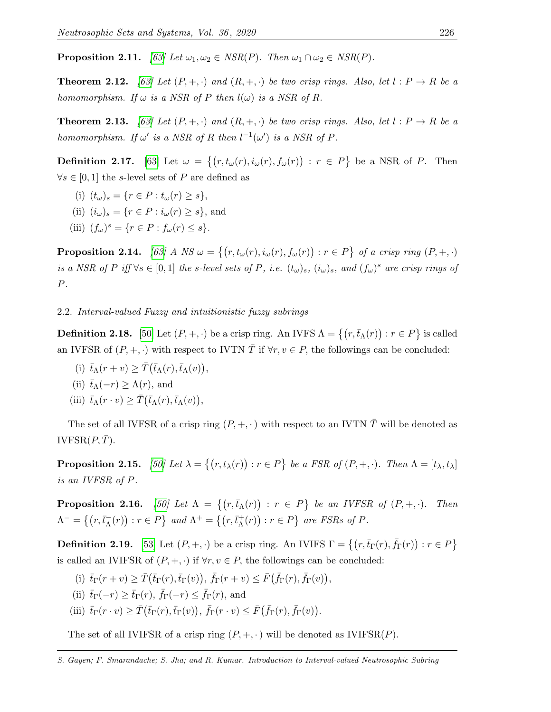**Proposition 2.11.** [\[63\]](#page-24-14) Let  $\omega_1, \omega_2 \in \text{NSR}(P)$ . Then  $\omega_1 \cap \omega_2 \in \text{NSR}(P)$ .

**Theorem 2.12.** [\[63\]](#page-24-14) Let  $(P, +, \cdot)$  and  $(R, +, \cdot)$  be two crisp rings. Also, let  $l : P \to R$  be a homomorphism. If  $\omega$  is a NSR of P then  $l(\omega)$  is a NSR of R.

**Theorem 2.13.** [\[63\]](#page-24-14) Let  $(P, +, \cdot)$  and  $(R, +, \cdot)$  be two crisp rings. Also, let  $l : P \to R$  be a homomorphism. If  $\omega'$  is a NSR of R then  $l^{-1}(\omega')$  is a NSR of P.

**Definition 2.17.** [\[63\]](#page-24-14) Let  $\omega = \{(r, t_\omega(r), i_\omega(r), f_\omega(r)) : r \in P\}$  be a NSR of P. Then  $\forall s \in [0,1]$  the s-level sets of P are defined as

- (i)  $(t_{\omega})_s = \{r \in P : t_{\omega}(r) \geq s\},\$
- (ii)  $(i_{\omega})_s = \{r \in P : i_{\omega}(r) \geq s\}$ , and
- (iii)  $(f_{\omega})^s = \{r \in P : f_{\omega}(r) \leq s\}.$

**Proposition 2.14.** [\[63\]](#page-24-14) A NS  $\omega = \{(r, t_\omega(r), i_\omega(r), f_\omega(r)) : r \in P\}$  of a crisp ring  $(P, +, \cdot)$ is a NSR of P iff  $\forall s \in [0,1]$  the s-level sets of P, i.e.  $(t_\omega)_s$ ,  $(i_\omega)_s$ , and  $(f_\omega)^s$  are crisp rings of  $\cal P.$ 

## 2.2. Interval-valued Fuzzy and intuitionistic fuzzy subrings

**Definition 2.18.** [\[50\]](#page-24-1) Let  $(P, +, \cdot)$  be a crisp ring. An IVFS  $\Lambda = \{(r, \bar{t}_{\Lambda}(r)) : r \in P\}$  is called an IVFSR of  $(P, +, \cdot)$  with respect to IVTN T if  $\forall r, v \in P$ , the followings can be concluded:

- (i)  $\bar{t}_{\Lambda}(r+v) \geq \bar{T}(\bar{t}_{\Lambda}(r), \bar{t}_{\Lambda}(v)),$
- (ii)  $\bar{t}_{\Lambda}(-r) \geq \Lambda(r)$ , and
- (iii)  $\bar{t}_{\Lambda}(r \cdot v) \geq \bar{T}(\bar{t}_{\Lambda}(r), \bar{t}_{\Lambda}(v)),$

The set of all IVFSR of a crisp ring  $(P, +, \cdot)$  with respect to an IVTN  $\overline{T}$  will be denoted as IVFSR $(P, \overline{T})$ .

**Proposition 2.15.** [\[50\]](#page-24-1) Let  $\lambda = \{(r, t_\lambda(r)) : r \in P\}$  be a FSR of  $(P, +, \cdot)$ . Then  $\Lambda = [t_\lambda, t_\lambda]$ is an IVFSR of P.

**Proposition 2.16.** [\[50\]](#page-24-1) Let  $\Lambda = \{ (r, \bar{t}_{\Lambda}(r)) : r \in P \}$  be an IVFSR of  $(P, +, \cdot)$ . Then  $\Lambda^{-} = \{ (r,\bar{t}_{\Lambda}^{-}(r)) : r \in P \}$  and  $\Lambda^{+} = \{ (r,\bar{t}_{\Lambda}^{+}(r)) : r \in P \}$  are FSRs of P.

**Definition 2.19.** [\[53\]](#page-24-4) Let  $(P, +, \cdot)$  be a crisp ring. An IVIFS  $\Gamma = \{(r, \bar{t}_{\Gamma}(r), \bar{f}_{\Gamma}(r)) : r \in P\}$ is called an IVIFSR of  $(P, +, \cdot)$  if  $\forall r, v \in P$ , the followings can be concluded:

- (i)  $\bar{t}_{\Gamma}(r+v) \geq \bar{T}(\bar{t}_{\Gamma}(r),\bar{t}_{\Gamma}(v)), \bar{f}_{\Gamma}(r+v) \leq \bar{F}(\bar{f}_{\Gamma}(r),\bar{f}_{\Gamma}(v)),$
- (ii)  $\bar{t}_{\Gamma}(-r) \geq \bar{t}_{\Gamma}(r)$ ,  $\bar{f}_{\Gamma}(-r) \leq \bar{f}_{\Gamma}(r)$ , and
- (iii)  $\bar{t}_{\Gamma}(r \cdot v) \geq \bar{T}(\bar{t}_{\Gamma}(r), \bar{t}_{\Gamma}(v)), \bar{f}_{\Gamma}(r \cdot v) \leq \bar{F}(\bar{f}_{\Gamma}(r), \bar{f}_{\Gamma}(v)).$

The set of all IVIFSR of a crisp ring  $(P, +, \cdot)$  will be denoted as IVIFSR $(P)$ .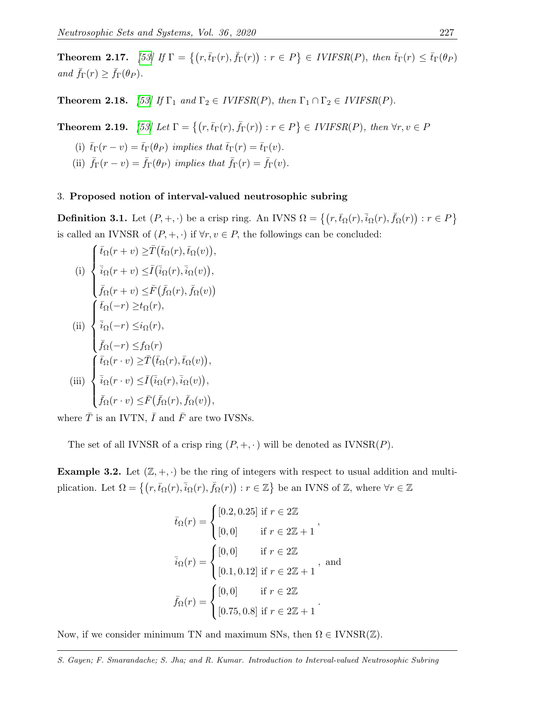**Theorem 2.17.** [\[53\]](#page-24-4) If  $\Gamma = \{ (r, \bar{t}_{\Gamma}(r), \bar{f}_{\Gamma}(r)) : r \in P \} \in \text{IVIFSR}(P)$ , then  $\bar{t}_{\Gamma}(r) \leq \bar{t}_{\Gamma}(\theta_P)$ and  $\bar{f}_{\Gamma}(r) \geq \bar{f}_{\Gamma}(\theta_P)$ .

**Theorem 2.18.** [\[53\]](#page-24-4) If  $\Gamma_1$  and  $\Gamma_2 \in IVIFSR(P)$ , then  $\Gamma_1 \cap \Gamma_2 \in IVIFSR(P)$ .

**Theorem 2.19.** [\[53\]](#page-24-4) Let  $\Gamma = \{ (r, \bar{t}_{\Gamma}(r), \bar{f}_{\Gamma}(r)) : r \in P \} \in IVIFSR(P)$ , then  $\forall r, v \in P$ 

- (i)  $\bar{t}_{\Gamma}(r-v) = \bar{t}_{\Gamma}(\theta_P)$  implies that  $\bar{t}_{\Gamma}(r) = \bar{t}_{\Gamma}(v)$ .
- (ii)  $\bar{f}_{\Gamma}(r-v) = \bar{f}_{\Gamma}(\theta_P)$  implies that  $\bar{f}_{\Gamma}(r) = \bar{f}_{\Gamma}(v)$ .

#### <span id="page-7-0"></span>3. Proposed notion of interval-valued neutrosophic subring

<span id="page-7-1"></span>**Definition 3.1.** Let  $(P, +, \cdot)$  be a crisp ring. An IVNS  $\Omega = \{(r, \bar{t}_{\Omega}(r), \bar{i}_{\Omega}(r), \bar{f}_{\Omega}(r)) : r \in P\}$ is called an IVNSR of  $(P, +, \cdot)$  if  $\forall r, v \in P$ , the followings can be concluded:

(i)  
\n
$$
\begin{cases}\n\bar{t}_{\Omega}(r+v) \geq \bar{T}(\bar{t}_{\Omega}(r), \bar{t}_{\Omega}(v)), \\
\bar{i}_{\Omega}(r+v) \leq \bar{I}(\bar{i}_{\Omega}(r), \bar{i}_{\Omega}(v)), \\
\bar{f}_{\Omega}(r+v) \leq \bar{F}(\bar{f}_{\Omega}(r), \bar{f}_{\Omega}(v)) \\
\bar{i}_{\Omega}(-r) \geq t_{\Omega}(r), \\
\bar{i}_{\Omega}(-r) \leq i_{\Omega}(r), \\
\bar{f}_{\Omega}(-r) \leq f_{\Omega}(r) \\
\bar{i}_{\Omega}(r,v) \geq \bar{T}(\bar{t}_{\Omega}(r), \bar{t}_{\Omega}(v)), \\
\bar{i}_{\Omega}(r \cdot v) \leq \bar{I}(\bar{i}_{\Omega}(r), \bar{i}_{\Omega}(v)), \\
\bar{f}_{\Omega}(r \cdot v) \leq \bar{F}(\bar{f}_{\Omega}(r), \bar{f}_{\Omega}(v)),\n\end{cases}
$$

where  $\overline{T}$  is an IVTN,  $\overline{I}$  and  $\overline{F}$  are two IVSNs.

The set of all IVNSR of a crisp ring  $(P, +, \cdot)$  will be denoted as IVNSR $(P)$ .

**Example 3.2.** Let  $(\mathbb{Z}, +, \cdot)$  be the ring of integers with respect to usual addition and multiplication. Let  $\Omega = \{ (r, \bar{t}_{\Omega}(r), \bar{i}_{\Omega}(r), \bar{f}_{\Omega}(r)) : r \in \mathbb{Z} \}$  be an IVNS of  $\mathbb{Z}$ , where  $\forall r \in \mathbb{Z}$ 

$$
\bar{t}_{\Omega}(r) = \begin{cases}\n[0.2, 0.25] \text{ if } r \in 2\mathbb{Z} \\
[0, 0] \text{ if } r \in 2\mathbb{Z} + 1\n\end{cases},
$$
\n
$$
\bar{i}_{\Omega}(r) = \begin{cases}\n[0, 0] \text{ if } r \in 2\mathbb{Z} \\
[0.1, 0.12] \text{ if } r \in 2\mathbb{Z} + 1\n\end{cases},
$$
\nand\n
$$
\bar{f}_{\Omega}(r) = \begin{cases}\n[0, 0] \text{ if } r \in 2\mathbb{Z} \\
[0.75, 0.8] \text{ if } r \in 2\mathbb{Z} + 1\n\end{cases}.
$$

Now, if we consider minimum TN and maximum SNs, then  $\Omega \in \text{IVNSR}(\mathbb{Z})$ .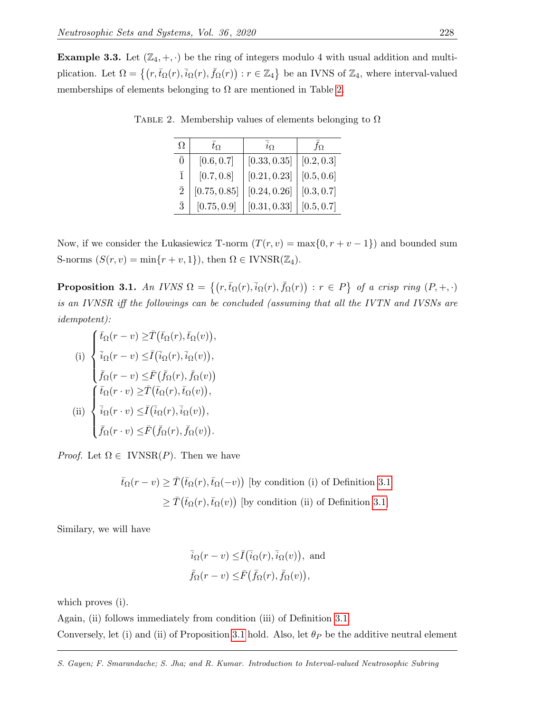<span id="page-8-0"></span>**Example 3.3.** Let  $(\mathbb{Z}_4, +, \cdot)$  be the ring of integers modulo 4 with usual addition and multiplication. Let  $\Omega = \{ (r, \bar{t}_{\Omega}(r), \bar{i}_{\Omega}(r), \bar{f}_{\Omega}(r)) : r \in \mathbb{Z}_4 \}$  be an IVNS of  $\mathbb{Z}_4$ , where interval-valued memberships of elements belonging to  $\Omega$  are mentioned in Table [2.](#page-8-0)

| Ω              | $t_{\Omega}$ | $i_{\Omega}$ | $f_{\Omega}$ |
|----------------|--------------|--------------|--------------|
| $\overline{0}$ | [0.6, 0.7]   | [0.33, 0.35] | [0.2, 0.3]   |
| $\overline{1}$ | [0.7, 0.8]   | [0.21, 0.23] | [0.5, 0.6]   |
| $\overline{2}$ | [0.75, 0.85] | [0.24, 0.26] | [0.3, 0.7]   |
| $\bar{3}$      | [0.75, 0.9]  | [0.31, 0.33] | [0.5, 0.7]   |

TABLE 2. Membership values of elements belonging to  $\Omega$ 

Now, if we consider the Lukasiewicz T-norm  $(T(r, v) = \max\{0, r + v - 1\})$  and bounded sum S-norms  $(S(r, v) = \min\{r + v, 1\})$ , then  $\Omega \in \text{IVNSR}(\mathbb{Z}_4)$ .

<span id="page-8-1"></span>**Proposition 3.1.** An IVNS  $\Omega = \{(r, \bar{t}_{\Omega}(r), \bar{i}_{\Omega}(r), \bar{f}_{\Omega}(r)) : r \in P\}$  of a crisp ring  $(P, +, \cdot)$ is an IVNSR iff the followings can be concluded (assuming that all the IVTN and IVSNs are idempotent):

(i)  
\n
$$
\begin{cases}\n\bar{t}_{\Omega}(r-v) \geq \bar{T}(\bar{t}_{\Omega}(r), \bar{t}_{\Omega}(v)), \\
\bar{i}_{\Omega}(r-v) \leq \bar{I}(\bar{i}_{\Omega}(r), \bar{i}_{\Omega}(v)), \\
\bar{f}_{\Omega}(r-v) \leq \bar{F}(\bar{f}_{\Omega}(r), \bar{f}_{\Omega}(v)) \\
\bar{t}_{\Omega}(r \cdot v) \geq \bar{T}(\bar{t}_{\Omega}(r), \bar{t}_{\Omega}(v)), \\
\bar{i}_{\Omega}(r \cdot v) \leq \bar{I}(\bar{i}_{\Omega}(r), \bar{i}_{\Omega}(v)), \\
\bar{f}_{\Omega}(r \cdot v) \leq \bar{F}(\bar{f}_{\Omega}(r), \bar{f}_{\Omega}(v)).\n\end{cases}
$$

*Proof.* Let  $\Omega \in \text{IVNSR}(P)$ . Then we have

$$
\bar{t}_{\Omega}(r-v) \geq \bar{T}(\bar{t}_{\Omega}(r), \bar{t}_{\Omega}(-v))
$$
 [by condition (i) of Definition 3.1]  

$$
\geq \bar{T}(\bar{t}_{\Omega}(r), \bar{t}_{\Omega}(v))
$$
 [by condition (ii) of Definition 3.1]

Similary, we will have

$$
\bar{i}_{\Omega}(r-v) \leq \bar{I}(\bar{i}_{\Omega}(r), \bar{i}_{\Omega}(v)),
$$
 and  
 $\bar{f}_{\Omega}(r-v) \leq \bar{F}(\bar{f}_{\Omega}(r), \bar{f}_{\Omega}(v)),$ 

which proves (i).

Again, (ii) follows immediately from condition (iii) of Definition [3.1.](#page-7-1)

Conversely, let (i) and (ii) of Proposition [3.1](#page-8-1) hold. Also, let  $\theta_P$  be the additive neutral element

S. Gayen; F. Smarandache; S. Jha; and R. Kumar. Introduction to Interval-valued Neutrosophic Subring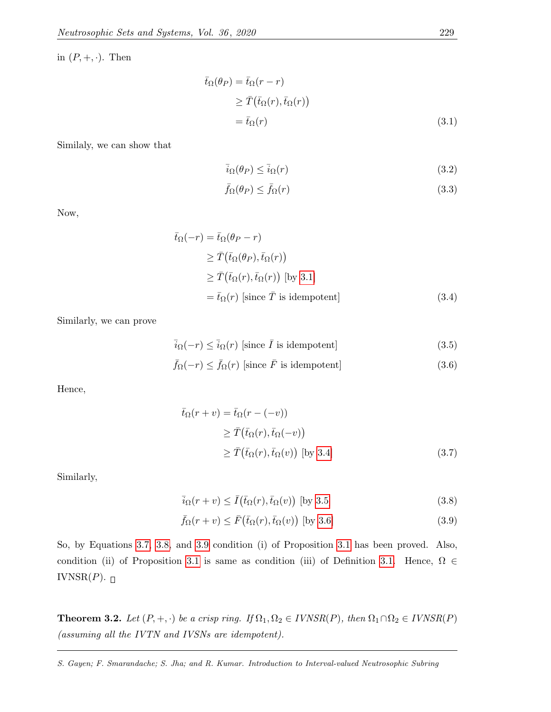in  $(P, +, \cdot)$ . Then

$$
\begin{aligned} \bar{t}_{\Omega}(\theta_P) &= \bar{t}_{\Omega}(r-r) \\ &\ge \bar{T}(\bar{t}_{\Omega}(r), \bar{t}_{\Omega}(r)) \\ &= \bar{t}_{\Omega}(r) \end{aligned} \tag{3.1}
$$

Similaly, we can show that

<span id="page-9-0"></span>
$$
\bar{i}_{\Omega}(\theta_P) \le \bar{i}_{\Omega}(r) \tag{3.2}
$$

<span id="page-9-2"></span><span id="page-9-1"></span>
$$
\bar{f}_{\Omega}(\theta_P) \le \bar{f}_{\Omega}(r) \tag{3.3}
$$

Now,

$$
\bar{t}_{\Omega}(-r) = \bar{t}_{\Omega}(\theta_P - r)
$$
\n
$$
\geq \bar{T}(\bar{t}_{\Omega}(\theta_P), \bar{t}_{\Omega}(r))
$$
\n
$$
\geq \bar{T}(\bar{t}_{\Omega}(r), \bar{t}_{\Omega}(r)) \text{ [by 3.1]}
$$
\n
$$
= \bar{t}_{\Omega}(r) \text{ [since } \bar{T} \text{ is idempotent]}
$$
\n(3.4)

Similarly, we can prove

$$
\bar{i}_{\Omega}(-r) \le \bar{i}_{\Omega}(r) \text{ [since } \bar{I} \text{ is idempotent]}
$$
\n(3.5)

$$
\bar{f}_{\Omega}(-r) \le \bar{f}_{\Omega}(r) \text{ [since } \bar{F} \text{ is idempotent]} \tag{3.6}
$$

Hence,

<span id="page-9-4"></span><span id="page-9-3"></span>
$$
\begin{aligned} \bar{t}_{\Omega}(r+v) &= \bar{t}_{\Omega}(r - (-v)) \\ &\geq \bar{T}(\bar{t}_{\Omega}(r), \bar{t}_{\Omega}(-v)) \\ &\geq \bar{T}(\bar{t}_{\Omega}(r), \bar{t}_{\Omega}(v)) \text{ [by 3.4]} \end{aligned} \tag{3.7}
$$

Similarly,

<span id="page-9-6"></span><span id="page-9-5"></span>
$$
\overline{i}_{\Omega}(r+v) \le \overline{I}(\overline{t}_{\Omega}(r), \overline{t}_{\Omega}(v))
$$
 [by 3.5] (3.8)

$$
\bar{f}_{\Omega}(r+v) \le \bar{F}(\bar{t}_{\Omega}(r), \bar{t}_{\Omega}(v)) \text{ [by 3.6]}
$$
\n(3.9)

So, by Equations [3.7,](#page-9-4) [3.8,](#page-9-5) and [3.9](#page-9-6) condition (i) of Proposition [3.1](#page-8-1) has been proved. Also, condition (ii) of Proposition [3.1](#page-8-1) is same as condition (iii) of Definition [3.1.](#page-7-1) Hence,  $\Omega \in$ IVNSR $(P)$ .

<span id="page-9-7"></span>**Theorem 3.2.** Let  $(P, +, \cdot)$  be a crisp ring. If  $\Omega_1, \Omega_2 \in IVNSR(P)$ , then  $\Omega_1 \cap \Omega_2 \in IVNSR(P)$ (assuming all the IVTN and IVSNs are idempotent).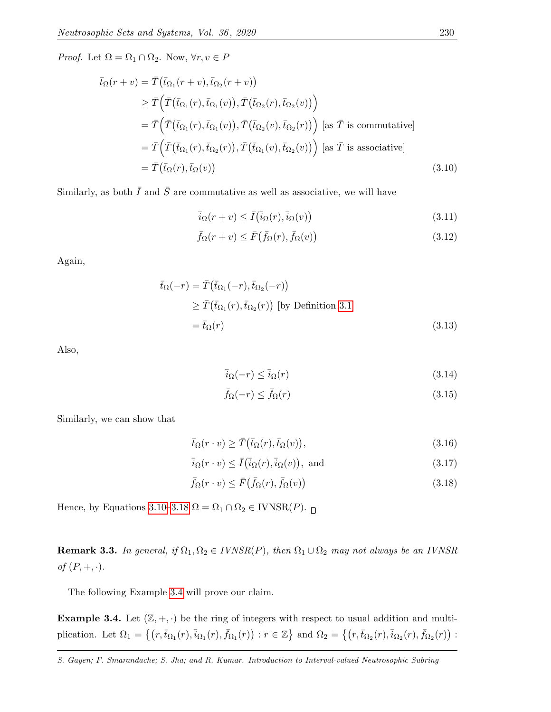*Proof.* Let  $\Omega = \Omega_1 \cap \Omega_2$ . Now,  $\forall r, v \in P$ 

$$
\bar{t}_{\Omega}(r+v) = \bar{T}(\bar{t}_{\Omega_1}(r+v), \bar{t}_{\Omega_2}(r+v))
$$
\n
$$
\geq \bar{T}(\bar{T}(\bar{t}_{\Omega_1}(r), \bar{t}_{\Omega_1}(v)), \bar{T}(\bar{t}_{\Omega_2}(r), \bar{t}_{\Omega_2}(v)))
$$
\n
$$
= \bar{T}(\bar{T}(\bar{t}_{\Omega_1}(r), \bar{t}_{\Omega_1}(v)), \bar{T}(\bar{t}_{\Omega_2}(v), \bar{t}_{\Omega_2}(r))) \text{ [as } \bar{T} \text{ is commutative]}
$$
\n
$$
= \bar{T}(\bar{T}(\bar{t}_{\Omega_1}(r), \bar{t}_{\Omega_2}(r)), \bar{T}(\bar{t}_{\Omega_1}(v), \bar{t}_{\Omega_2}(v))) \text{ [as } \bar{T} \text{ is associative]}
$$
\n
$$
= \bar{T}(\bar{t}_{\Omega}(r), \bar{t}_{\Omega}(v)) \tag{3.10}
$$

Similarly, as both  $\overline{I}$  and  $\overline{S}$  are commutative as well as associative, we will have

<span id="page-10-0"></span>
$$
\overline{i}_{\Omega}(r+v) \le \overline{I}(\overline{i}_{\Omega}(r), \overline{i}_{\Omega}(v))
$$
\n(3.11)

$$
\bar{f}_{\Omega}(r+v) \le \bar{F}(\bar{f}_{\Omega}(r), \bar{f}_{\Omega}(v))
$$
\n(3.12)

Again,

$$
\bar{t}_{\Omega}(-r) = \bar{T}(\bar{t}_{\Omega_1}(-r), \bar{t}_{\Omega_2}(-r))
$$
\n
$$
\geq \bar{T}(\bar{t}_{\Omega_1}(r), \bar{t}_{\Omega_2}(r)) \text{ [by Definition 3.1]}
$$
\n
$$
= \bar{t}_{\Omega}(r) \tag{3.13}
$$

Also,

$$
\bar{i}_{\Omega}(-r) \le \bar{i}_{\Omega}(r) \tag{3.14}
$$

<span id="page-10-1"></span>
$$
\bar{f}_{\Omega}(-r) \le \bar{f}_{\Omega}(r) \tag{3.15}
$$

Similarly, we can show that

$$
\bar{t}_{\Omega}(r \cdot v) \ge \bar{T}(\bar{t}_{\Omega}(r), \bar{t}_{\Omega}(v)),\tag{3.16}
$$

$$
\bar{i}_{\Omega}(r \cdot v) \le \bar{I}(\bar{i}_{\Omega}(r), \bar{i}_{\Omega}(v)), \text{ and } (3.17)
$$

$$
\bar{f}_{\Omega}(r \cdot v) \le \bar{F}(\bar{f}_{\Omega}(r), \bar{f}_{\Omega}(v)) \tag{3.18}
$$

Hence, by Equations [3.10](#page-10-0)[–3.18](#page-10-1)  $\Omega = \Omega_1 \cap \Omega_2 \in \text{IVNSR}(P)$ .

**Remark 3.3.** In general, if  $\Omega_1, \Omega_2 \in IVNSR(P)$ , then  $\Omega_1 \cup \Omega_2$  may not always be an IVNSR of  $(P, +, \cdot)$ .

The following Example [3.4](#page-10-2) will prove our claim.

<span id="page-10-2"></span>**Example 3.4.** Let  $(\mathbb{Z}, +, \cdot)$  be the ring of integers with respect to usual addition and multiplication. Let  $\Omega_1 = \left\{ \left( r, \overline{t}_{\Omega_1}(r), \overline{i}_{\Omega_1}(r), \overline{f}_{\Omega_1}(r) \right) : r \in \mathbb{Z} \right\}$  and  $\Omega_2 = \left\{ \left( r, \overline{t}_{\Omega_2}(r), \overline{i}_{\Omega_2}(r), \overline{f}_{\Omega_2}(r) \right) : r \in \mathbb{Z} \right\}$ 

S. Gayen; F. Smarandache; S. Jha; and R. Kumar. Introduction to Interval-valued Neutrosophic Subring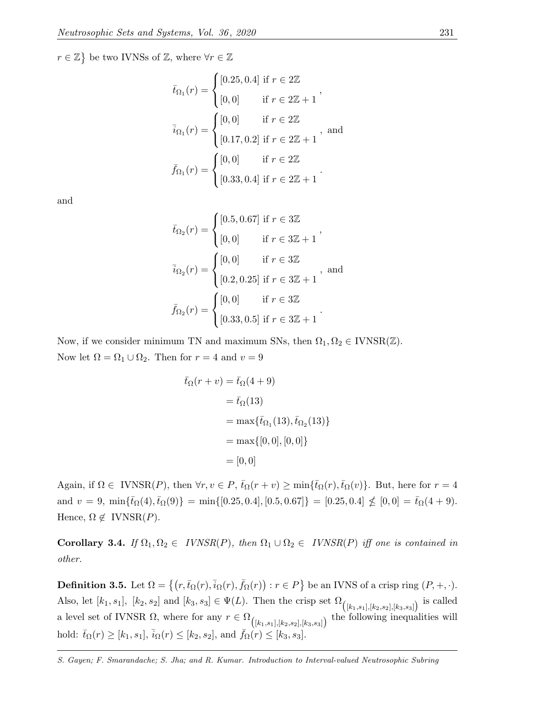$r \in \mathbb{Z}$  be two IVNSs of  $\mathbb{Z}$ , where  $\forall r \in \mathbb{Z}$ 

$$
\bar{t}_{\Omega_1}(r) = \begin{cases}\n[0.25, 0.4] \text{ if } r \in 2\mathbb{Z} \\
[0, 0] \text{ if } r \in 2\mathbb{Z} + 1\n\end{cases},
$$
\n
$$
\bar{i}_{\Omega_1}(r) = \begin{cases}\n[0, 0] \text{ if } r \in 2\mathbb{Z} \\
[0.17, 0.2] \text{ if } r \in 2\mathbb{Z} + 1\n\end{cases}, \text{ and}
$$
\n
$$
\bar{f}_{\Omega_1}(r) = \begin{cases}\n[0, 0] \text{ if } r \in 2\mathbb{Z} \\
[0.33, 0.4] \text{ if } r \in 2\mathbb{Z} + 1\n\end{cases}.
$$

and

$$
\bar{t}_{\Omega_2}(r) = \begin{cases}\n[0.5, 0.67] \text{ if } r \in 3\mathbb{Z} \\
[0, 0] \text{ if } r \in 3\mathbb{Z} + 1\n\end{cases},
$$
\n
$$
\bar{i}_{\Omega_2}(r) = \begin{cases}\n[0, 0] \text{ if } r \in 3\mathbb{Z} \\
[0.2, 0.25] \text{ if } r \in 3\mathbb{Z} + 1\n\end{cases}, \text{ and}
$$
\n
$$
\bar{f}_{\Omega_2}(r) = \begin{cases}\n[0, 0] \text{ if } r \in 3\mathbb{Z} \\
[0.33, 0.5] \text{ if } r \in 3\mathbb{Z} + 1\n\end{cases}.
$$

Now, if we consider minimum TN and maximum SNs, then  $\Omega_1, \Omega_2 \in \text{IVNSR}(\mathbb{Z})$ . Now let  $\Omega = \Omega_1 \cup \Omega_2$ . Then for  $r = 4$  and  $v = 9$ 

$$
\begin{aligned} \bar{t}_{\Omega}(r+v) &= \bar{t}_{\Omega}(4+9) \\ &= \bar{t}_{\Omega}(13) \\ &= \max\{\bar{t}_{\Omega_1}(13), \bar{t}_{\Omega_2}(13)\} \\ &= \max\{[0,0], [0,0]\} \\ &= [0,0] \end{aligned}
$$

Again, if  $\Omega \in \text{IVNSR}(P)$ , then  $\forall r, v \in P$ ,  $\bar{t}_{\Omega}(r+v) \ge \min{\{\bar{t}_{\Omega}(r), \bar{t}_{\Omega}(v)\}}$ . But, here for  $r = 4$ and  $v = 9$ ,  $\min{\{\bar{t}_{\Omega}(4), \bar{t}_{\Omega}(9)\}} = \min{\{[0.25, 0.4], [0.5, 0.67]\}} = [0.25, 0.4] \nless (0.0) = \bar{t}_{\Omega}(4 + 9).$ Hence,  $\Omega \notin \text{IVNSR}(P)$ .

Corollary 3.4. If  $\Omega_1, \Omega_2 \in \text{IVNSR}(P)$ , then  $\Omega_1 \cup \Omega_2 \in \text{IVNSR}(P)$  iff one is contained in other.

**Definition 3.5.** Let  $\Omega = \{(r, \bar{t}_{\Omega}(r), \bar{i}_{\Omega}(r), \bar{f}_{\Omega}(r)) : r \in P\}$  be an IVNS of a crisp ring  $(P, +, \cdot)$ . Also, let  $[k_1, s_1]$ ,  $[k_2, s_2]$  and  $[k_3, s_3] \in \Psi(L)$ . Then the crisp set  $\Omega_{([k_1, s_1], [k_2, s_2], [k_3, s_3])}$  is called a level set of IVNSR  $\Omega$ , where for any  $r \in \Omega_{([k_1,s_1],[k_2,s_2],[k_3,s_3])}$  the following inequalities will hold:  $\bar{t}_{\Omega}(r) \geq [k_1, s_1], \bar{i}_{\Omega}(r) \leq [k_2, s_2],$  and  $\bar{f}_{\Omega}(r) \leq [k_3, s_3].$ 

S. Gayen; F. Smarandache; S. Jha; and R. Kumar. Introduction to Interval-valued Neutrosophic Subring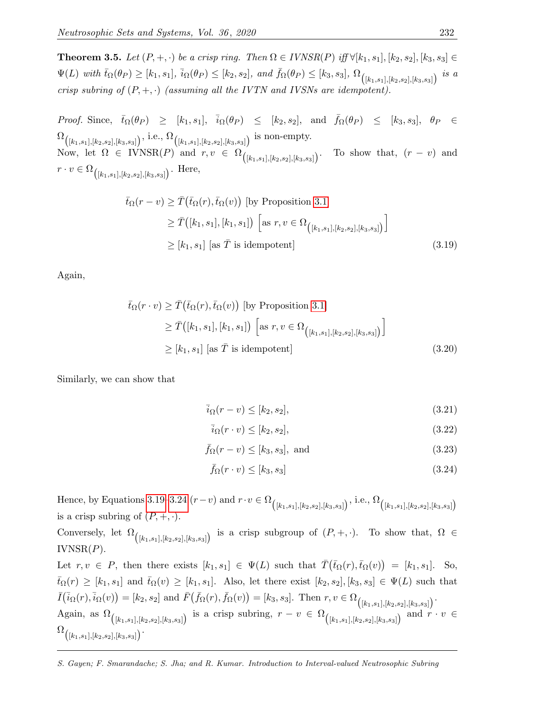<span id="page-12-2"></span>**Theorem 3.5.** Let  $(P, +, \cdot)$  be a crisp ring. Then  $\Omega \in IVNSR(P)$  iff  $\forall [k_1, s_1], [k_2, s_2], [k_3, s_3] \in$  $\Psi(L)$  with  $\bar{t}_{\Omega}(\theta_P) \geq [k_1, s_1], \bar{i}_{\Omega}(\theta_P) \leq [k_2, s_2],$  and  $\bar{f}_{\Omega}(\theta_P) \leq [k_3, s_3], \Omega_{([k_1, s_1], [k_2, s_2], [k_3, s_3]})$  is a crisp subring of  $(P, +, \cdot)$  (assuming all the IVTN and IVSNs are idempotent).

*Proof.* Since,  $\bar{t}_{\Omega}(\theta_P) \geq [k_1, s_1], \bar{i}_{\Omega}(\theta_P) \leq [k_2, s_2], \text{ and } \bar{f}_{\Omega}(\theta_P) \leq [k_3, s_3], \theta_P \in$  $\Omega_{\left([k_1,s_1],[k_2,s_2],[k_3,s_3]\right)}, \, \text{i.e.,}\, \Omega_{\left([k_1,s_1],[k_2,s_2],[k_3,s_3]\right)} \text{ is non-empty.}$ Now, let  $\Omega \in \text{IVNSR}(P)$  and  $r, v \in \Omega_{([k_1, s_1], [k_2, s_2], [k_3, s_3])}$ To show that,  $(r - v)$  and  $r \cdot v \in \Omega_{([k_1,s_1],[k_2,s_2],[k_3,s_3])}$ . Here,

$$
\bar{t}_{\Omega}(r-v) \geq \bar{T}(\bar{t}_{\Omega}(r), \bar{t}_{\Omega}(v)) \text{ [by Proposition 3.1]}
$$
\n
$$
\geq \bar{T}([k_1, s_1], [k_1, s_1]) \left[ \text{as } r, v \in \Omega_{([k_1, s_1], [k_2, s_2], [k_3, s_3])} \right]
$$
\n
$$
\geq [k_1, s_1] \text{ [as } \bar{T} \text{ is idempotent]}
$$
\n(3.19)

Again,

$$
\bar{t}_{\Omega}(r \cdot v) \geq \bar{T}(\bar{t}_{\Omega}(r), \bar{t}_{\Omega}(v)) \text{ [by Proposition 3.1]}
$$
\n
$$
\geq \bar{T}([k_1, s_1], [k_1, s_1]) \left[ \text{as } r, v \in \Omega_{([k_1, s_1], [k_2, s_2], [k_3, s_3]}) \right]
$$
\n
$$
\geq [k_1, s_1] \text{ [as } \bar{T} \text{ is idempotent]}
$$
\n(3.20)

Similarly, we can show that

<span id="page-12-0"></span>
$$
\overline{i}_{\Omega}(r-v) \le [k_2, s_2],\tag{3.21}
$$

$$
\bar{i}_{\Omega}(r \cdot v) \le [k_2, s_2],\tag{3.22}
$$

$$
\bar{f}_{\Omega}(r-v) \le [k_3, s_3], \text{ and } (3.23)
$$

<span id="page-12-1"></span>
$$
\bar{f}_{\Omega}(r \cdot v) \leq [k_3, s_3] \tag{3.24}
$$

Hence, by Equations [3.19–](#page-12-0)[3.24](#page-12-1)  $(r-v)$  and  $r \cdot v \in \Omega_{([k_1,s_1],[k_2,s_2],[k_3,s_3])}$ , i.e.,  $\Omega_{([k_1,s_1],[k_2,s_2],[k_3,s_3])}$ is a crisp subring of  $(P, +, \cdot)$ .

Conversely, let  $\Omega_{([k_1,s_1],[k_2,s_2],[k_3,s_3])}$  is a crisp subgroup of  $(P, +, \cdot)$ . To show that,  $\Omega \in$  $IVNSR(P)$ .

Let  $r, v \in P$ , then there exists  $[k_1, s_1] \in \Psi(L)$  such that  $\overline{T}(\overline{t}_\Omega(r), \overline{t}_\Omega(v)) = [k_1, s_1]$ . So,  $\bar{t}_{\Omega}(r) \geq [k_1, s_1]$  and  $\bar{t}_{\Omega}(v) \geq [k_1, s_1]$ . Also, let there exist  $[k_2, s_2], [k_3, s_3] \in \Psi(L)$  such that  $\overline{I}(\overline{i}_{\Omega}(r), \overline{i}_{\Omega}(v)) = [k_2, s_2] \text{ and } \overline{F}(\overline{f}_{\Omega}(r), \overline{f}_{\Omega}(v)) = [k_3, s_3]. \text{ Then } r, v \in \Omega_{([k_1, s_1], [k_2, s_2], [k_3, s_3]})}.$ Again, as  $\Omega_{([k_1,s_1],[k_2,s_2],[k_3,s_3])}$  is a crisp subring,  $r - v \in \Omega_{([k_1,s_1],[k_2,s_2],[k_3,s_3])}$  and  $r \cdot v \in$  $\Omega_{\left( [k_1,s_1], [k_2,s_2], [k_3,s_3] \right) }.$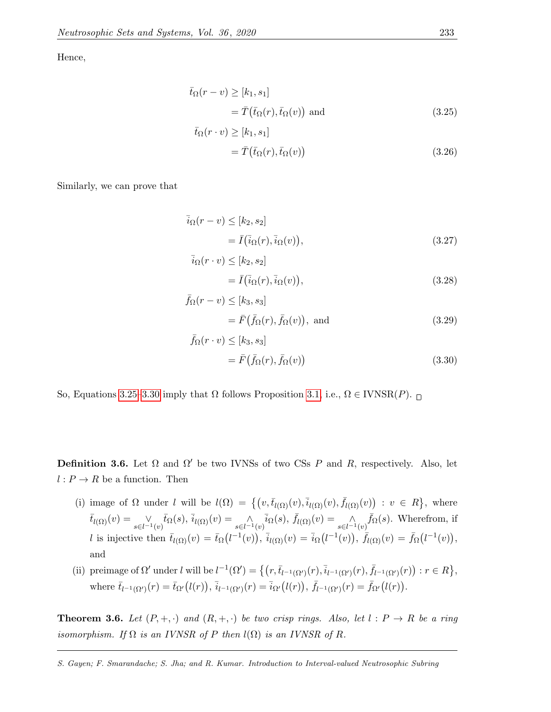Hence,

$$
\bar{t}_{\Omega}(r-v) \ge [k_1, s_1]
$$
  
=  $\bar{T}(\bar{t}_{\Omega}(r), \bar{t}_{\Omega}(v))$  and (3.25)

<span id="page-13-0"></span>
$$
= \bar{T}(\bar{t}_{\Omega}(r), \bar{t}_{\Omega}(v))
$$
\n(3.26)

Similarly, we can prove that

$$
\overline{i}_{\Omega}(r-v) \leq [k_2, s_2]
$$
  
=  $\overline{I}(\overline{i}_{\Omega}(r), \overline{i}_{\Omega}(v)),$  (3.27)

<span id="page-13-1"></span>
$$
= \bar{I}(\bar{i}_{\Omega}(r), \bar{i}_{\Omega}(v)), \qquad (3.28)
$$

$$
\bar{f}_{\Omega}(r-v) \le [k_3, s_3]
$$
  
=  $\bar{F}(\bar{f}_{\Omega}(r), \bar{f}_{\Omega}(v)),$  and (3.29)

$$
\bar{f}_{\Omega}(r \cdot v) \leq [k_3, s_3]
$$
  
=  $\bar{F}(\bar{f}_{\Omega}(r), \bar{f}_{\Omega}(v))$  (3.30)

So, Equations [3.25](#page-13-0)[–3.30](#page-13-1) imply that  $Ω$  follows Proposition [3.1,](#page-8-1) i.e.,  $Ω ∈ \text{IVNSR}(P)$ .

 $\bar{t}_{\Omega}(r \cdot v) \geq [k_1, s_1]$ 

 $\overline{i}_\Omega(r \cdot v) \leq [k_2, s_2]$ 

**Definition 3.6.** Let  $\Omega$  and  $\Omega'$  be two IVNSs of two CSs P and R, respectively. Also, let  $l: P \to R$  be a function. Then

- (i) image of  $\Omega$  under l will be  $l(\Omega) = \{ (v, \bar{t}_{l(\Omega)}(v), \bar{i}_{l(\Omega)}(v), \bar{f}_{l(\Omega)}(v)) : v \in R \}$ , where  $\bar{t}_{l(\Omega)}(v) = \bigvee_{s \in l^{-1}(v)} \bar{t}_{\Omega}(s), \, \bar{i}_{l(\Omega)}(v) = \bigwedge_{s \in l^{-1}(v)} \bar{i}_{\Omega}(s), \, \bar{f}_{l(\Omega)}(v) = \bigwedge_{s \in l^{-1}(v)} \bar{f}_{\Omega}(s).$  Wherefrom, if l is injective then  $\bar{t}_{l(\Omega)}(v) = \bar{t}_{\Omega}(l^{-1}(v)), \bar{i}_{l(\Omega)}(v) = \bar{i}_{\Omega}(l^{-1}(v)), \bar{f}_{l(\Omega)}(v) = \bar{f}_{\Omega}(l^{-1}(v)),$ and
- (ii) preimage of  $\Omega'$  under l will be  $l^{-1}(\Omega') = \left\{ (r, \bar{t}_{l^{-1}(\Omega')}(r), \bar{i}_{l^{-1}(\Omega')}(r), \bar{f}_{l^{-1}(\Omega')}(r)) : r \in R \right\},\$ where  $\bar{t}_{l^{-1}(\Omega')}(r) = \bar{t}_{\Omega'}(l(r)), \bar{i}_{l^{-1}(\Omega')}(r) = \bar{i}_{\Omega'}(l(r)), \bar{f}_{l^{-1}(\Omega')}(r) = \bar{f}_{\Omega'}(l(r)).$

<span id="page-13-2"></span>**Theorem 3.6.** Let  $(P, +, \cdot)$  and  $(R, +, \cdot)$  be two crisp rings. Also, let  $l : P \to R$  be a ring isomorphism. If  $\Omega$  is an IVNSR of P then  $l(\Omega)$  is an IVNSR of R.

S. Gayen; F. Smarandache; S. Jha; and R. Kumar. Introduction to Interval-valued Neutrosophic Subring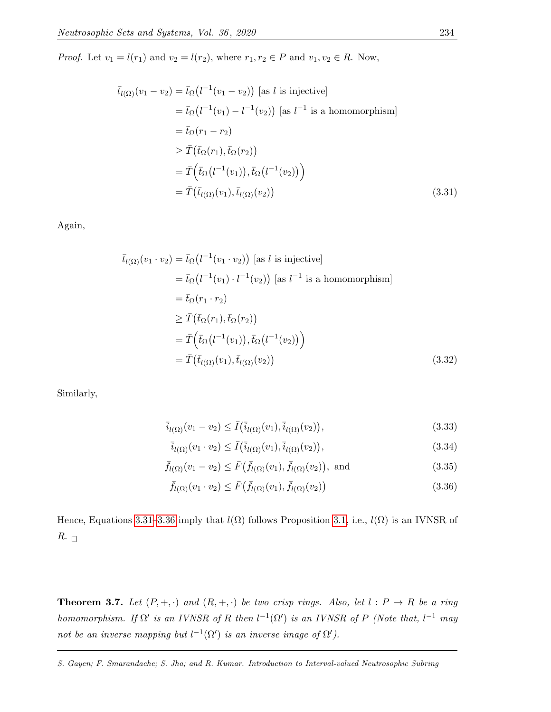*Proof.* Let  $v_1 = l(r_1)$  and  $v_2 = l(r_2)$ , where  $r_1, r_2 \in P$  and  $v_1, v_2 \in R$ . Now,

$$
\bar{t}_{l(\Omega)}(v_1 - v_2) = \bar{t}_{\Omega}(l^{-1}(v_1 - v_2)) \text{ [as } l \text{ is injective]}
$$
\n
$$
= \bar{t}_{\Omega}(l^{-1}(v_1) - l^{-1}(v_2)) \text{ [as } l^{-1} \text{ is a homomorphism}]
$$
\n
$$
= \bar{t}_{\Omega}(r_1 - r_2)
$$
\n
$$
\geq \bar{T}(\bar{t}_{\Omega}(r_1), \bar{t}_{\Omega}(r_2))
$$
\n
$$
= \bar{T}(\bar{t}_{\Omega}(l^{-1}(v_1)), \bar{t}_{\Omega}(l^{-1}(v_2)) )
$$
\n
$$
= \bar{T}(\bar{t}_{l(\Omega)}(v_1), \bar{t}_{l(\Omega)}(v_2))
$$
\n(3.31)

Again,

<span id="page-14-0"></span>
$$
\bar{t}_{l(\Omega)}(v_1 \cdot v_2) = \bar{t}_{\Omega}(l^{-1}(v_1 \cdot v_2)) \text{ [as } l \text{ is injective]}
$$
\n
$$
= \bar{t}_{\Omega}(l^{-1}(v_1) \cdot l^{-1}(v_2)) \text{ [as } l^{-1} \text{ is a homomorphism}]
$$
\n
$$
= \bar{t}_{\Omega}(r_1 \cdot r_2)
$$
\n
$$
\geq \bar{T}(\bar{t}_{\Omega}(r_1), \bar{t}_{\Omega}(r_2))
$$
\n
$$
= \bar{T}(\bar{t}_{\Omega}(l^{-1}(v_1)), \bar{t}_{\Omega}(l^{-1}(v_2)) )
$$
\n
$$
= \bar{T}(\bar{t}_{l(\Omega)}(v_1), \bar{t}_{l(\Omega)}(v_2))
$$
\n(3.32)

Similarly,

$$
\bar{i}_{l(\Omega)}(v_1 - v_2) \le \bar{I}(\bar{i}_{l(\Omega)}(v_1), \bar{i}_{l(\Omega)}(v_2)),
$$
\n(3.33)

$$
\bar{i}_{l(\Omega)}(v_1 \cdot v_2) \le \bar{I}(\bar{i}_{l(\Omega)}(v_1), \bar{i}_{l(\Omega)}(v_2)),
$$
\n(3.34)

$$
\bar{f}_{l(\Omega)}(v_1 - v_2) \le \bar{F}(\bar{f}_{l(\Omega)}(v_1), \bar{f}_{l(\Omega)}(v_2)), \text{ and } (3.35)
$$

<span id="page-14-1"></span>
$$
\bar{f}_{l(\Omega)}(v_1 \cdot v_2) \le \bar{F}(\bar{f}_{l(\Omega)}(v_1), \bar{f}_{l(\Omega)}(v_2))
$$
\n(3.36)

Hence, Equations [3.31–](#page-14-0)[3.36](#page-14-1) imply that  $l(\Omega)$  follows Proposition [3.1,](#page-8-1) i.e.,  $l(\Omega)$  is an IVNSR of  $R_{\cdot}$ 

**Theorem 3.7.** Let  $(P, +, \cdot)$  and  $(R, +, \cdot)$  be two crisp rings. Also, let  $l : P \to R$  be a ring homomorphism. If  $\Omega'$  is an IVNSR of R then  $l^{-1}(\Omega')$  is an IVNSR of P (Note that,  $l^{-1}$  may not be an inverse mapping but  $l^{-1}(\Omega')$  is an inverse image of  $\Omega'$ ).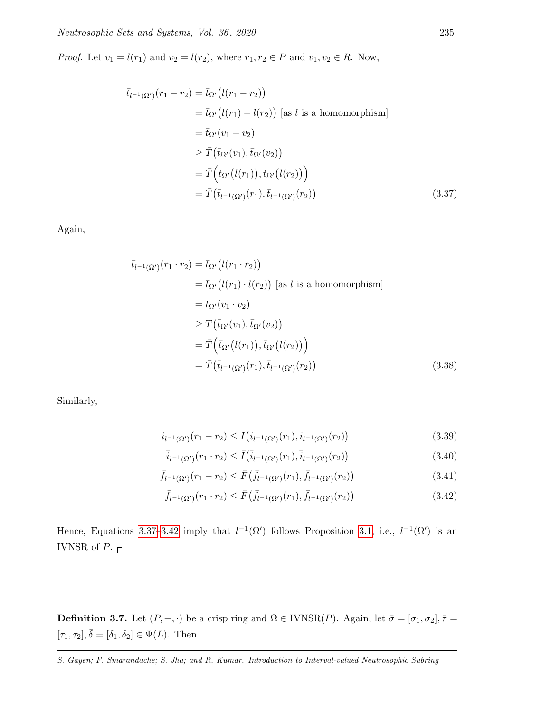*Proof.* Let  $v_1 = l(r_1)$  and  $v_2 = l(r_2)$ , where  $r_1, r_2 \in P$  and  $v_1, v_2 \in R$ . Now,

$$
\begin{aligned}\n\bar{t}_{l^{-1}(\Omega')}(r_1 - r_2) &= \bar{t}_{\Omega'}(l(r_1 - r_2)) \\
&= \bar{t}_{\Omega'}(l(r_1) - l(r_2)) \text{ [as } l \text{ is a homomorphism}] \\
&= \bar{t}_{\Omega'}(v_1 - v_2) \\
&\geq \bar{T}(\bar{t}_{\Omega'}(v_1), \bar{t}_{\Omega'}(v_2)) \\
&= \bar{T}(\bar{t}_{\Omega'}(l(r_1)), \bar{t}_{\Omega'}(l(r_2))) \\
&= \bar{T}(\bar{t}_{l^{-1}(\Omega')}(r_1), \bar{t}_{l^{-1}(\Omega')}(r_2))\n\end{aligned} \tag{3.37}
$$

Again,

<span id="page-15-0"></span>
$$
\begin{aligned}\n\bar{t}_{l^{-1}(\Omega')}(r_1 \cdot r_2) &= \bar{t}_{\Omega'}(l(r_1 \cdot r_2)) \\
&= \bar{t}_{\Omega'}(l(r_1) \cdot l(r_2)) \text{ [as } l \text{ is a homomorphism}] \\
&= \bar{t}_{\Omega'}(v_1 \cdot v_2) \\
&\geq \bar{T}(\bar{t}_{\Omega'}(v_1), \bar{t}_{\Omega'}(v_2)) \\
&= \bar{T}(\bar{t}_{\Omega'}(l(r_1)), \bar{t}_{\Omega'}(l(r_2))\big) \\
&= \bar{T}(\bar{t}_{l^{-1}(\Omega')}(r_1), \bar{t}_{l^{-1}(\Omega')}(r_2))\n\end{aligned} \tag{3.38}
$$

Similarly,

$$
\overline{i}_{l^{-1}(\Omega')}(r_1 - r_2) \le \overline{I}(\overline{i}_{l^{-1}(\Omega')}(r_1), \overline{i}_{l^{-1}(\Omega')}(r_2))
$$
\n(3.39)

$$
\bar{i}_{l^{-1}(\Omega')}(r_1 \cdot r_2) \le \bar{I}(\bar{i}_{l^{-1}(\Omega')}(r_1), \bar{i}_{l^{-1}(\Omega')}(r_2))
$$
\n(3.40)

$$
\bar{f}_{l^{-1}(\Omega')}(r_1 - r_2) \le \bar{F}(\bar{f}_{l^{-1}(\Omega')}(r_1), \bar{f}_{l^{-1}(\Omega')}(r_2))
$$
\n(3.41)

<span id="page-15-1"></span>
$$
\bar{f}_{l^{-1}(\Omega')}(r_1 \cdot r_2) \le \bar{F}(\bar{f}_{l^{-1}(\Omega')}(r_1), \bar{f}_{l^{-1}(\Omega')}(r_2))
$$
\n(3.42)

Hence, Equations [3.37–](#page-15-0)[3.42](#page-15-1) imply that  $l^{-1}(\Omega')$  follows Proposition [3.1,](#page-8-1) i.e.,  $l^{-1}(\Omega')$  is an IVNSR of  $P.$   $_\square$ 

**Definition 3.7.** Let  $(P, +, \cdot)$  be a crisp ring and  $\Omega \in \text{IVNSR}(P)$ . Again, let  $\bar{\sigma} = [\sigma_1, \sigma_2], \bar{\tau} =$  $[\tau_1, \tau_2], \overline{\delta} = [\delta_1, \delta_2] \in \Psi(L)$ . Then

S. Gayen; F. Smarandache; S. Jha; and R. Kumar. Introduction to Interval-valued Neutrosophic Subring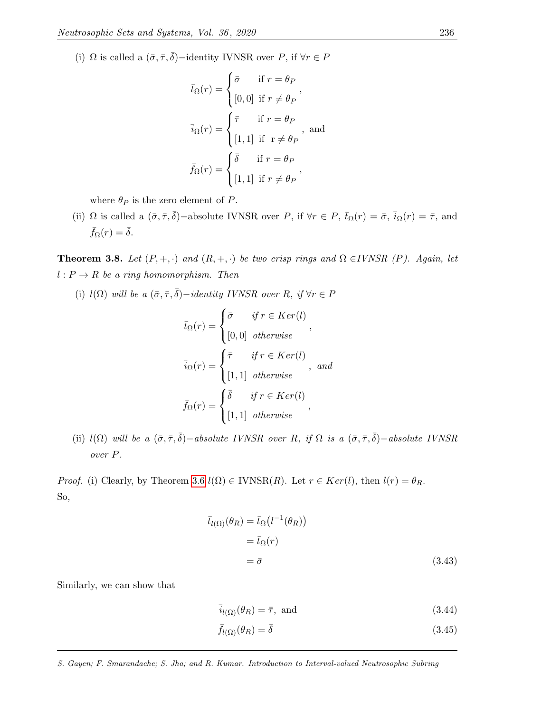(i)  $\Omega$  is called a  $(\bar{\sigma}, \bar{\tau}, \bar{\delta})$  -identity IVNSR over P, if  $\forall r \in P$ 

$$
\bar{t}_{\Omega}(r) = \begin{cases}\n\bar{\sigma} & \text{if } r = \theta_P \\
[0,0] & \text{if } r \neq \theta_P\n\end{cases},
$$
\n
$$
\bar{i}_{\Omega}(r) = \begin{cases}\n\bar{\tau} & \text{if } r = \theta_P \\
[1,1] & \text{if } r \neq \theta_P\n\end{cases}, \text{ and}
$$
\n
$$
\bar{f}_{\Omega}(r) = \begin{cases}\n\bar{\delta} & \text{if } r = \theta_P \\
[1,1] & \text{if } r \neq \theta_P\n\end{cases},
$$

where  $\theta_P$  is the zero element of P.

(ii)  $\Omega$  is called a  $(\bar{\sigma}, \bar{\tau}, \bar{\delta})$ -absolute IVNSR over P, if  $\forall r \in P$ ,  $\bar{t}_{\Omega}(r) = \bar{\sigma}$ ,  $\bar{i}_{\Omega}(r) = \bar{\tau}$ , and  $\bar{f}_{\Omega}(r) = \bar{\delta}.$ 

**Theorem 3.8.** Let  $(P, +, \cdot)$  and  $(R, +, \cdot)$  be two crisp rings and  $\Omega \in IVNSR$  (P). Again, let  $l : P \to R$  be a ring homomorphism. Then

(i)  $l(\Omega)$  will be a  $(\bar{\sigma}, \bar{\tau}, \bar{\delta})-identity \text{ IVNSR over } R, \text{ if } \forall r \in P$ 

$$
\bar{t}_{\Omega}(r) = \begin{cases}\n\bar{\sigma} & \text{if } r \in Ker(l) \\
[0,0] & \text{otherwise}\n\end{cases},
$$
\n
$$
\bar{i}_{\Omega}(r) = \begin{cases}\n\bar{\tau} & \text{if } r \in Ker(l) \\
[1,1] & \text{otherwise}\n\end{cases}, and
$$
\n
$$
\bar{f}_{\Omega}(r) = \begin{cases}\n\bar{\delta} & \text{if } r \in Ker(l) \\
[1,1] & \text{otherwise}\n\end{cases},
$$

(ii)  $l(\Omega)$  will be a  $(\bar{\sigma}, \bar{\tau}, \bar{\delta})$  – absolute IVNSR over R, if  $\Omega$  is a  $(\bar{\sigma}, \bar{\tau}, \bar{\delta})$  – absolute IVNSR over P.

*Proof.* (i) Clearly, by Theorem [3.6](#page-13-2)  $l(\Omega) \in \text{IVNSR}(R)$ . Let  $r \in \text{Ker}(l)$ , then  $l(r) = \theta_R$ . So,

$$
\bar{t}_{l(\Omega)}(\theta_R) = \bar{t}_{\Omega}(l^{-1}(\theta_R))
$$

$$
= \bar{t}_{\Omega}(r)
$$

$$
= \bar{\sigma}
$$
(3.43)

Similarly, we can show that

<span id="page-16-0"></span>
$$
\bar{i}_{l(\Omega)}(\theta_R) = \bar{\tau}, \text{ and}
$$
\n(3.44)

$$
\bar{f}_{l(\Omega)}(\theta_R) = \bar{\delta} \tag{3.45}
$$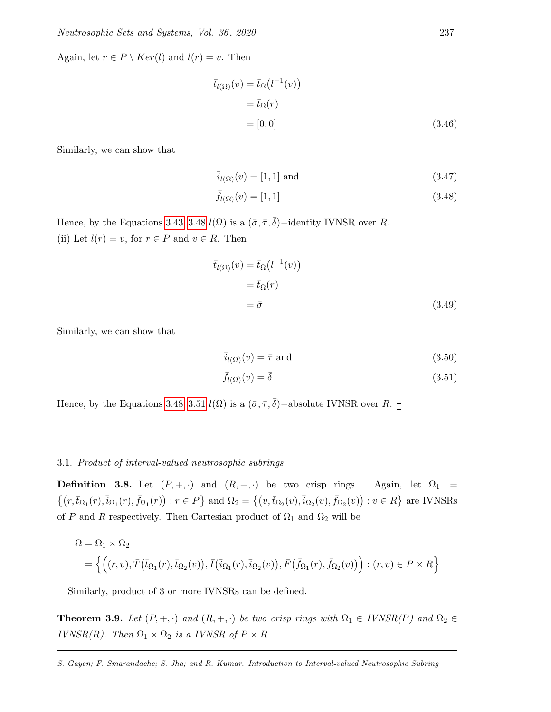Again, let  $r \in P \setminus Ker(l)$  and  $l(r) = v$ . Then

$$
\begin{aligned} \bar{t}_{l(\Omega)}(v) &= \bar{t}_{\Omega}(l^{-1}(v)) \\ &= \bar{t}_{\Omega}(r) \\ &= [0, 0] \end{aligned} \tag{3.46}
$$

Similarly, we can show that

$$
\overline{i}_{l(\Omega)}(v) = [1, 1] \text{ and } \tag{3.47}
$$

<span id="page-17-0"></span>
$$
\bar{f}_{l(\Omega)}(v) = [1, 1] \tag{3.48}
$$

Hence, by the Equations [3.43–](#page-16-0)[3.48](#page-17-0)  $l(\Omega)$  is a  $(\bar{\sigma}, \bar{\tau}, \bar{\delta})$  –identity IVNSR over R. (ii) Let  $l(r) = v$ , for  $r \in P$  and  $v \in R$ . Then

$$
\bar{t}_{l(\Omega)}(v) = \bar{t}_{\Omega}(l^{-1}(v))
$$

$$
= \bar{t}_{\Omega}(r)
$$

$$
= \bar{\sigma}
$$
(3.49)

Similarly, we can show that

<span id="page-17-1"></span>
$$
\bar{i}_{l(\Omega)}(v) = \bar{\tau} \text{ and } (3.50)
$$

$$
\bar{f}_{l(\Omega)}(v) = \bar{\delta} \tag{3.51}
$$

Hence, by the Equations [3.48–](#page-17-0)[3.51](#page-17-1)  $l(\Omega)$  is a  $(\bar{\sigma}, \bar{\tau}, \bar{\delta})$  –absolute IVNSR over R.

#### 3.1. Product of interval-valued neutrosophic subrings

<span id="page-17-2"></span>**Definition 3.8.** Let  $(P, +, \cdot)$  and  $(R, +, \cdot)$  be two crisp rings. Again, let  $\Omega_1$  =  $\{(r,\bar{t}_{\Omega_1}(r),\bar{i}_{\Omega_1}(r),\bar{f}_{\Omega_1}(r)):r\in P\}$  and  $\Omega_2=\{(v,\bar{t}_{\Omega_2}(v),\bar{i}_{\Omega_2}(v),\bar{f}_{\Omega_2}(v)):v\in R\}$  are IVNSRs of P and R respectively. Then Cartesian product of  $\Omega_1$  and  $\Omega_2$  will be

$$
\Omega = \Omega_1 \times \Omega_2
$$
  
= { ((r, v),  $\overline{T}(\overline{t}_{\Omega_1}(r), \overline{t}_{\Omega_2}(v)), \overline{I}(\overline{i}_{\Omega_1}(r), \overline{i}_{\Omega_2}(v)), \overline{F}(\overline{f}_{\Omega_1}(r), \overline{f}_{\Omega_2}(v)) ) : (r, v) \in P \times R }$ }

Similarly, product of 3 or more IVNSRs can be defined.

**Theorem 3.9.** Let  $(P, +, \cdot)$  and  $(R, +, \cdot)$  be two crisp rings with  $\Omega_1 \in IVNSR(P)$  and  $\Omega_2 \in$ IVNSR(R). Then  $\Omega_1 \times \Omega_2$  is a IVNSR of  $P \times R$ .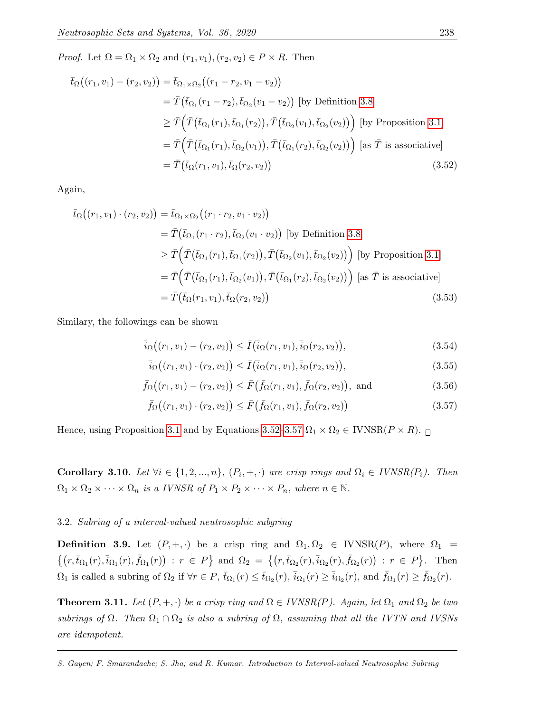*Proof.* Let  $\Omega = \Omega_1 \times \Omega_2$  and  $(r_1, v_1), (r_2, v_2) \in P \times R$ . Then

$$
\bar{t}_{\Omega}\big((r_1, v_1) - (r_2, v_2)\big) = \bar{t}_{\Omega_1 \times \Omega_2}\big((r_1 - r_2, v_1 - v_2)\big)
$$
\n
$$
= \bar{T}\big(\bar{t}_{\Omega_1}(r_1 - r_2), \bar{t}_{\Omega_2}(v_1 - v_2)\big) \text{ [by Definition 3.8]}
$$
\n
$$
\geq \bar{T}\Big(\bar{T}\big(\bar{t}_{\Omega_1}(r_1), \bar{t}_{\Omega_1}(r_2)\big), \bar{T}\big(\bar{t}_{\Omega_2}(v_1), \bar{t}_{\Omega_2}(v_2)\big)\Big) \text{ [by Proposition 3.1]}
$$
\n
$$
= \bar{T}\Big(\bar{T}\big(\bar{t}_{\Omega_1}(r_1), \bar{t}_{\Omega_2}(v_1)\big), \bar{T}\big(\bar{t}_{\Omega_1}(r_2), \bar{t}_{\Omega_2}(v_2)\big)\Big) \text{ [as } \bar{T} \text{ is associative]}
$$
\n
$$
= \bar{T}\big(\bar{t}_{\Omega}(r_1, v_1), \bar{t}_{\Omega}(r_2, v_2)\big) \tag{3.52}
$$

Again,

$$
\begin{split}\n\bar{t}_{\Omega}\big((r_1, v_1) \cdot (r_2, v_2)\big) &= \bar{t}_{\Omega_1 \times \Omega_2}\big((r_1 \cdot r_2, v_1 \cdot v_2)\big) \\
&= \bar{T}\big(\bar{t}_{\Omega_1}(r_1 \cdot r_2), \bar{t}_{\Omega_2}(v_1 \cdot v_2)\big) \text{ [by Definition 3.8]} \\
&\ge \bar{T}\Big(\bar{T}\big(\bar{t}_{\Omega_1}(r_1), \bar{t}_{\Omega_1}(r_2)\big), \bar{T}\big(\bar{t}_{\Omega_2}(v_1), \bar{t}_{\Omega_2}(v_2)\big)\Big) \text{ [by Proposition 3.1]} \\
&= \bar{T}\Big(\bar{T}\big(\bar{t}_{\Omega_1}(r_1), \bar{t}_{\Omega_2}(v_1)\big), \bar{T}\big(\bar{t}_{\Omega_1}(r_2), \bar{t}_{\Omega_2}(v_2)\big)\Big) \text{ [as } \bar{T} \text{ is associative]} \\
&= \bar{T}\big(\bar{t}_{\Omega}(r_1, v_1), \bar{t}_{\Omega}(r_2, v_2)\big)\n\end{split} \tag{3.53}
$$

Similary, the followings can be shown

<span id="page-18-0"></span>
$$
\bar{i}_{\Omega}\big((r_1, v_1) - (r_2, v_2)\big) \le \bar{I}\big(\bar{i}_{\Omega}(r_1, v_1), \bar{i}_{\Omega}(r_2, v_2)\big),\tag{3.54}
$$

$$
\bar{i}_{\Omega}((r_1, v_1) \cdot (r_2, v_2)) \le \bar{I}(\bar{i}_{\Omega}(r_1, v_1), \bar{i}_{\Omega}(r_2, v_2)),
$$
\n(3.55)

$$
\bar{f}_{\Omega}\big((r_1, v_1) - (r_2, v_2)\big) \le \bar{F}\big(\bar{f}_{\Omega}(r_1, v_1), \bar{f}_{\Omega}(r_2, v_2)\big), \text{ and } (3.56)
$$

<span id="page-18-1"></span>
$$
\bar{f}_{\Omega}\big((r_1, v_1) \cdot (r_2, v_2)\big) \le \bar{F}\big(\bar{f}_{\Omega}(r_1, v_1), \bar{f}_{\Omega}(r_2, v_2)\big) \tag{3.57}
$$

Hence, using Proposition [3.1](#page-8-1) and by Equations [3.52–](#page-18-0)[3.57](#page-18-1)  $\Omega_1 \times \Omega_2 \in \text{IVNSR}(P \times R)$ .

**Corollary 3.10.** Let  $\forall i \in \{1, 2, ..., n\}$ ,  $(P_i, +, \cdot)$  are crisp rings and  $\Omega_i \in \text{IVNSR}(P_i)$ . Then  $\Omega_1 \times \Omega_2 \times \cdots \times \Omega_n$  is a IVNSR of  $P_1 \times P_2 \times \cdots \times P_n$ , where  $n \in \mathbb{N}$ .

#### 3.2. Subring of a interval-valued neutrosophic subgring

**Definition 3.9.** Let  $(P, +, \cdot)$  be a crisp ring and  $\Omega_1, \Omega_2 \in \text{IVNSR}(P)$ , where  $\Omega_1$  $\{(r,\bar{t}_{\Omega_1}(r),\bar{i}_{\Omega_1}(r),\bar{f}_{\Omega_1}(r)) : r \in P\}$  and  $\Omega_2 = \{(r,\bar{t}_{\Omega_2}(r),\bar{i}_{\Omega_2}(r),\bar{f}_{\Omega_2}(r)) : r \in P\}$ . Then  $\Omega_1$  is called a subring of  $\Omega_2$  if  $\forall r \in P$ ,  $\bar{t}_{\Omega_1}(r) \leq \bar{t}_{\Omega_2}(r)$ ,  $\bar{i}_{\Omega_1}(r) \geq \bar{i}_{\Omega_2}(r)$ , and  $\bar{f}_{\Omega_1}(r) \geq \bar{f}_{\Omega_2}(r)$ .

**Theorem 3.11.** Let  $(P, +, \cdot)$  be a crisp ring and  $\Omega \in IVNSR(P)$ . Again, let  $\Omega_1$  and  $\Omega_2$  be two subrings of  $\Omega$ . Then  $\Omega_1 \cap \Omega_2$  is also a subring of  $\Omega$ , assuming that all the IVTN and IVSNs are idempotent.

S. Gayen; F. Smarandache; S. Jha; and R. Kumar. Introduction to Interval-valued Neutrosophic Subring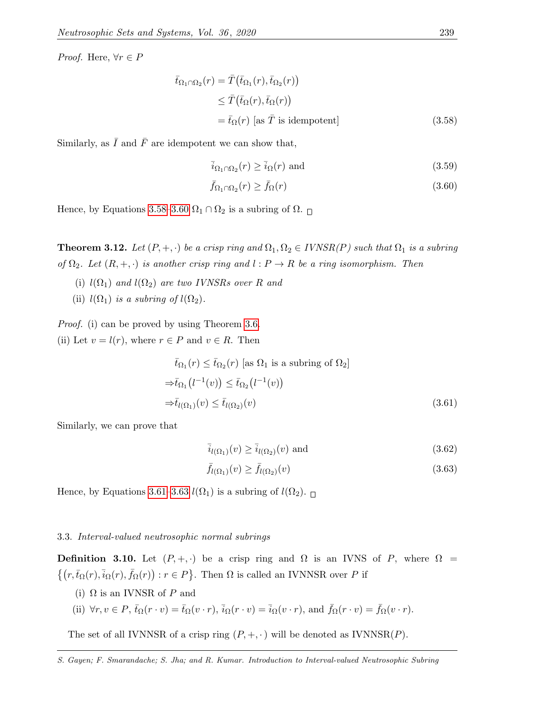*Proof.* Here,  $\forall r \in P$ 

$$
\begin{aligned}\n\bar{t}_{\Omega_1 \cap \Omega_2}(r) &= \bar{T}(\bar{t}_{\Omega_1}(r), \bar{t}_{\Omega_2}(r)) \\
&\leq \bar{T}(\bar{t}_{\Omega}(r), \bar{t}_{\Omega}(r)) \\
&= \bar{t}_{\Omega}(r) \text{ [as } \bar{T} \text{ is idempotent]}\n\end{aligned} \tag{3.58}
$$

Similarly, as  $\overline{I}$  and  $\overline{F}$  are idempotent we can show that,

<span id="page-19-0"></span>
$$
\bar{i}_{\Omega_1 \cap \Omega_2}(r) \ge \bar{i}_{\Omega}(r) \text{ and } (3.59)
$$

<span id="page-19-1"></span>
$$
\bar{f}_{\Omega_1 \cap \Omega_2}(r) \ge \bar{f}_{\Omega}(r) \tag{3.60}
$$

Hence, by Equations [3.58](#page-19-0)[–3.60](#page-19-1)  $\Omega_1 \cap \Omega_2$  is a subring of  $\Omega$ .

**Theorem 3.12.** Let  $(P, +, \cdot)$  be a crisp ring and  $\Omega_1, \Omega_2 \in IVNSR(P)$  such that  $\Omega_1$  is a subring of  $\Omega_2$ . Let  $(R, +, \cdot)$  is another crisp ring and  $l : P \to R$  be a ring isomorphism. Then

(i)  $l(\Omega_1)$  and  $l(\Omega_2)$  are two IVNSRs over R and

(ii)  $l(\Omega_1)$  is a subring of  $l(\Omega_2)$ .

Proof. (i) can be proved by using Theorem [3.6.](#page-13-2) (ii) Let  $v = l(r)$ , where  $r \in P$  and  $v \in R$ . Then

$$
\bar{t}_{\Omega_1}(r) \le \bar{t}_{\Omega_2}(r) \text{ [as } \Omega_1 \text{ is a subring of } \Omega_2]
$$
  
\n
$$
\Rightarrow \bar{t}_{\Omega_1}(l^{-1}(v)) \le \bar{t}_{\Omega_2}(l^{-1}(v))
$$
  
\n
$$
\Rightarrow \bar{t}_{l(\Omega_1)}(v) \le \bar{t}_{l(\Omega_2)}(v) \tag{3.61}
$$

Similarly, we can prove that

<span id="page-19-3"></span><span id="page-19-2"></span>
$$
\overline{i}_{l(\Omega_1)}(v) \ge \overline{i}_{l(\Omega_2)}(v) \text{ and } (3.62)
$$

$$
\bar{f}_{l(\Omega_1)}(v) \ge \bar{f}_{l(\Omega_2)}(v) \tag{3.63}
$$

Hence, by Equations [3.61](#page-19-2)[–3.63](#page-19-3)  $l(\Omega_1)$  is a subring of  $l(\Omega_2)$ .

#### 3.3. Interval-valued neutrosophic normal subrings

**Definition 3.10.** Let  $(P, +, \cdot)$  be a crisp ring and  $\Omega$  is an IVNS of P, where  $\Omega$  $\{(r,\bar{t}_{\Omega}(r),\bar{i}_{\Omega}(r),\bar{f}_{\Omega}(r)):r\in P\}$ . Then  $\Omega$  is called an IVNNSR over P if

(i)  $\Omega$  is an IVNSR of P and

(ii) 
$$
\forall r, v \in P
$$
,  $\bar{t}_{\Omega}(r \cdot v) = \bar{t}_{\Omega}(v \cdot r)$ ,  $\bar{i}_{\Omega}(r \cdot v) = \bar{i}_{\Omega}(v \cdot r)$ , and  $\bar{f}_{\Omega}(r \cdot v) = \bar{f}_{\Omega}(v \cdot r)$ .

The set of all IVNNSR of a crisp ring  $(P, +, \cdot)$  will be denoted as IVNNSR $(P)$ .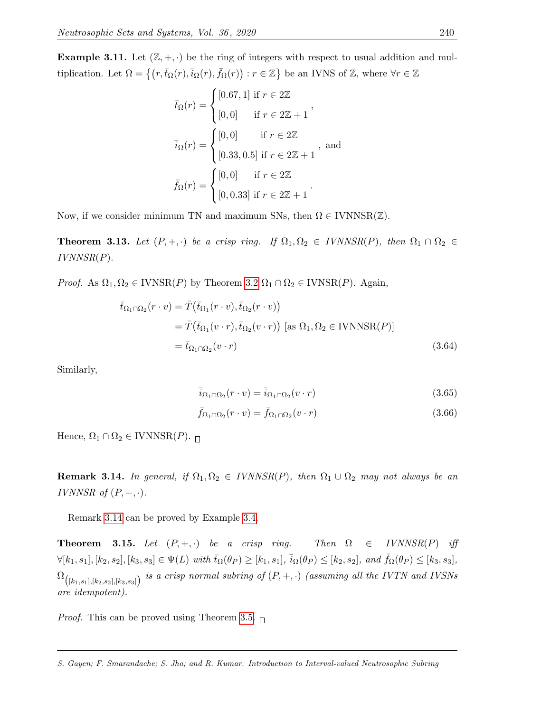**Example 3.11.** Let  $(\mathbb{Z}, +, \cdot)$  be the ring of integers with respect to usual addition and multiplication. Let  $\Omega = \{ (r, \bar{t}_{\Omega}(r), \bar{t}_{\Omega}(r), \bar{f}_{\Omega}(r)) : r \in \mathbb{Z} \}$  be an IVNS of  $\mathbb{Z}$ , where  $\forall r \in \mathbb{Z}$ 

$$
\bar{t}_{\Omega}(r) = \begin{cases}\n[0.67, 1] \text{ if } r \in 2\mathbb{Z} \\
[0, 0] \text{ if } r \in 2\mathbb{Z} + 1\n\end{cases},
$$
\n
$$
\bar{i}_{\Omega}(r) = \begin{cases}\n[0, 0] \text{ if } r \in 2\mathbb{Z} \\
[0.33, 0.5] \text{ if } r \in 2\mathbb{Z} + 1\n\end{cases},
$$
\nand\n
$$
\bar{f}_{\Omega}(r) = \begin{cases}\n[0, 0] \text{ if } r \in 2\mathbb{Z} \\
[0, 0.33] \text{ if } r \in 2\mathbb{Z} + 1\n\end{cases}.
$$

Now, if we consider minimum TN and maximum SNs, then  $\Omega \in IVNNSR(\mathbb{Z})$ .

**Theorem 3.13.** Let  $(P, +, \cdot)$  be a crisp ring. If  $\Omega_1, \Omega_2 \in IVNNSR(P)$ , then  $\Omega_1 \cap \Omega_2 \in$  $IVNNSR(P)$ .

*Proof.* As  $\Omega_1, \Omega_2 \in \text{IVNSR}(P)$  by Theorem [3.2](#page-9-7)  $\Omega_1 \cap \Omega_2 \in \text{IVNSR}(P)$ . Again,

$$
\bar{t}_{\Omega_1 \cap \Omega_2}(r \cdot v) = \bar{T}(\bar{t}_{\Omega_1}(r \cdot v), \bar{t}_{\Omega_2}(r \cdot v))
$$
\n
$$
= \bar{T}(\bar{t}_{\Omega_1}(v \cdot r), \bar{t}_{\Omega_2}(v \cdot r)) \text{ [as } \Omega_1, \Omega_2 \in \text{IVNNSR}(P)]
$$
\n
$$
= \bar{t}_{\Omega_1 \cap \Omega_2}(v \cdot r) \tag{3.64}
$$

Similarly,

$$
\overline{i}_{\Omega_1 \cap \Omega_2}(r \cdot v) = \overline{i}_{\Omega_1 \cap \Omega_2}(v \cdot r) \tag{3.65}
$$

$$
\bar{f}_{\Omega_1 \cap \Omega_2}(r \cdot v) = \bar{f}_{\Omega_1 \cap \Omega_2}(v \cdot r)
$$
\n(3.66)

Hence,  $\Omega_1 \cap \Omega_2 \in \text{IVNNSR}(P)$ .

<span id="page-20-0"></span>**Remark 3.14.** In general, if  $\Omega_1, \Omega_2 \in IVNNSR(P)$ , then  $\Omega_1 \cup \Omega_2$  may not always be an IVNNSR of  $(P, +, \cdot)$ .

Remark [3.14](#page-20-0) can be proved by Example [3.4.](#page-10-2)

**Theorem 3.15.** Let  $(P, +, \cdot)$  be a crisp ring. Then  $\Omega \in IVNNSR(P)$  iff  $\forall [k_1, s_1], [k_2, s_2], [k_3, s_3] \in \Psi(L)$  with  $\bar{t}_{\Omega}(\theta_P) \geq [k_1, s_1], \bar{i}_{\Omega}(\theta_P) \leq [k_2, s_2],$  and  $\bar{f}_{\Omega}(\theta_P) \leq [k_3, s_3],$  $\Omega_{\big([k_1,s_1],[k_2,s_2],[k_3,s_3]\big)}$  is a crisp normal subring of  $(P,+,\cdot)$  (assuming all the IVTN and IVSNs are idempotent).

*Proof.* This can be proved using Theorem [3.5.](#page-12-2)  $\Box$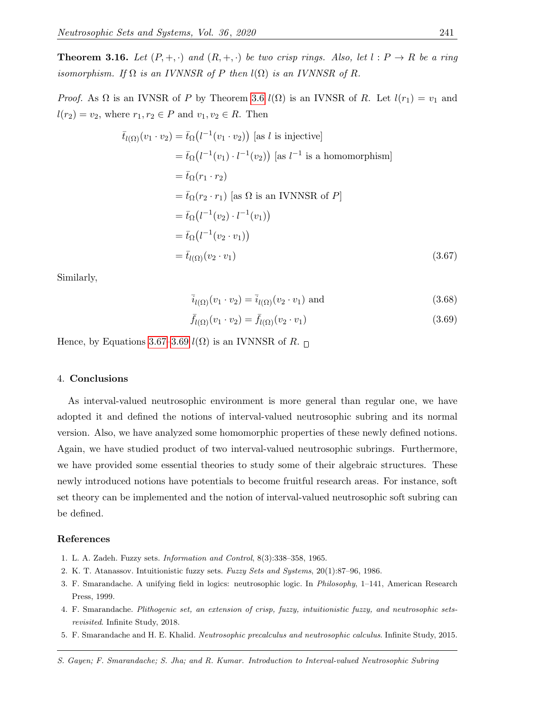**Theorem 3.16.** Let  $(P, +, \cdot)$  and  $(R, +, \cdot)$  be two crisp rings. Also, let  $l : P \to R$  be a ring isomorphism. If  $\Omega$  is an IVNNSR of P then  $l(\Omega)$  is an IVNNSR of R.

*Proof.* As  $\Omega$  is an IVNSR of P by Theorem [3.6](#page-13-2)  $l(\Omega)$  is an IVNSR of R. Let  $l(r_1) = v_1$  and  $l(r_2) = v_2$ , where  $r_1, r_2 \in P$  and  $v_1, v_2 \in R$ . Then

$$
\bar{t}_{l(\Omega)}(v_1 \cdot v_2) = \bar{t}_{\Omega}(l^{-1}(v_1 \cdot v_2)) \text{ [as } l \text{ is injective]}
$$
\n
$$
= \bar{t}_{\Omega}(l^{-1}(v_1) \cdot l^{-1}(v_2)) \text{ [as } l^{-1} \text{ is a homomorphism}]
$$
\n
$$
= \bar{t}_{\Omega}(r_1 \cdot r_2)
$$
\n
$$
= \bar{t}_{\Omega}(r_2 \cdot r_1) \text{ [as } \Omega \text{ is an IVNNSR of } P]
$$
\n
$$
= \bar{t}_{\Omega}(l^{-1}(v_2) \cdot l^{-1}(v_1))
$$
\n
$$
= \bar{t}_{\Omega}(l^{-1}(v_2 \cdot v_1))
$$
\n
$$
= \bar{t}_{l(\Omega)}(v_2 \cdot v_1) \qquad (3.67)
$$

Similarly,

<span id="page-21-6"></span>
$$
\overline{i}_{l(\Omega)}(v_1 \cdot v_2) = \overline{i}_{l(\Omega)}(v_2 \cdot v_1) \text{ and } (3.68)
$$

<span id="page-21-7"></span>
$$
\bar{f}_{l(\Omega)}(v_1 \cdot v_2) = \bar{f}_{l(\Omega)}(v_2 \cdot v_1)
$$
\n(3.69)

Hence, by Equations [3.67](#page-21-6)[–3.69](#page-21-7)  $l(\Omega)$  is an IVNNSR of R.  $\Box$ 

#### <span id="page-21-5"></span>4. Conclusions

As interval-valued neutrosophic environment is more general than regular one, we have adopted it and defined the notions of interval-valued neutrosophic subring and its normal version. Also, we have analyzed some homomorphic properties of these newly defined notions. Again, we have studied product of two interval-valued neutrosophic subrings. Furthermore, we have provided some essential theories to study some of their algebraic structures. These newly introduced notions have potentials to become fruitful research areas. For instance, soft set theory can be implemented and the notion of interval-valued neutrosophic soft subring can be defined.

### References

- <span id="page-21-0"></span>1. L. A. Zadeh. Fuzzy sets. Information and Control, 8(3):338–358, 1965.
- <span id="page-21-1"></span>2. K. T. Atanassov. Intuitionistic fuzzy sets. Fuzzy Sets and Systems, 20(1):87–96, 1986.
- <span id="page-21-2"></span>3. F. Smarandache. A unifying field in logics: neutrosophic logic. In Philosophy, 1–141, American Research Press, 1999.
- <span id="page-21-3"></span>4. F. Smarandache. Plithogenic set, an extension of crisp, fuzzy, intuitionistic fuzzy, and neutrosophic setsrevisited. Infinite Study, 2018.
- <span id="page-21-4"></span>5. F. Smarandache and H. E. Khalid. Neutrosophic precalculus and neutrosophic calculus. Infinite Study, 2015.

S. Gayen; F. Smarandache; S. Jha; and R. Kumar. Introduction to Interval-valued Neutrosophic Subring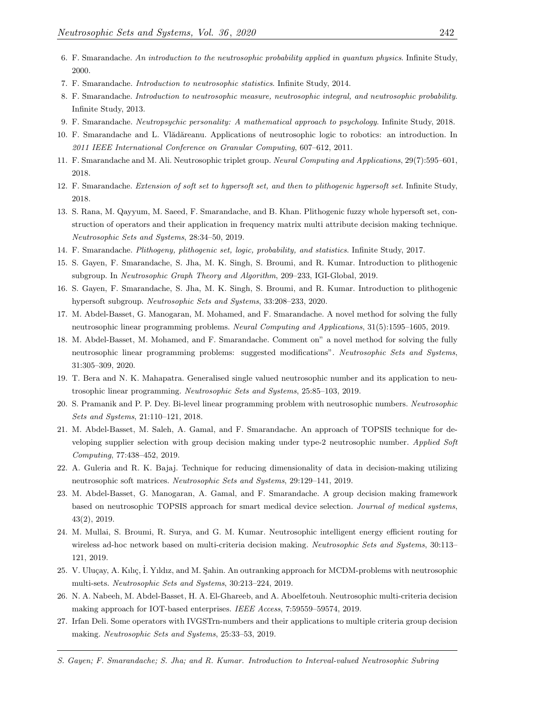- <span id="page-22-0"></span>6. F. Smarandache. An introduction to the neutrosophic probability applied in quantum physics. Infinite Study, 2000.
- <span id="page-22-1"></span>7. F. Smarandache. Introduction to neutrosophic statistics. Infinite Study, 2014.
- <span id="page-22-2"></span>8. F. Smarandache. Introduction to neutrosophic measure, neutrosophic integral, and neutrosophic probability. Infinite Study, 2013.
- <span id="page-22-3"></span>9. F. Smarandache. Neutropsychic personality: A mathematical approach to psychology. Infinite Study, 2018.
- <span id="page-22-4"></span>10. F. Smarandache and L. Vlădăreanu. Applications of neutrosophic logic to robotics: an introduction. In 2011 IEEE International Conference on Granular Computing, 607–612, 2011.
- <span id="page-22-5"></span>11. F. Smarandache and M. Ali. Neutrosophic triplet group. Neural Computing and Applications, 29(7):595–601, 2018.
- <span id="page-22-6"></span>12. F. Smarandache. Extension of soft set to hypersoft set, and then to plithogenic hypersoft set. Infinite Study, 2018.
- <span id="page-22-7"></span>13. S. Rana, M. Qayyum, M. Saeed, F. Smarandache, and B. Khan. Plithogenic fuzzy whole hypersoft set, construction of operators and their application in frequency matrix multi attribute decision making technique. Neutrosophic Sets and Systems, 28:34–50, 2019.
- <span id="page-22-8"></span>14. F. Smarandache. Plithogeny, plithogenic set, logic, probability, and statistics. Infinite Study, 2017.
- <span id="page-22-9"></span>15. S. Gayen, F. Smarandache, S. Jha, M. K. Singh, S. Broumi, and R. Kumar. Introduction to plithogenic subgroup. In Neutrosophic Graph Theory and Algorithm, 209–233, IGI-Global, 2019.
- <span id="page-22-10"></span>16. S. Gayen, F. Smarandache, S. Jha, M. K. Singh, S. Broumi, and R. Kumar. Introduction to plithogenic hypersoft subgroup. Neutrosophic Sets and Systems, 33:208–233, 2020.
- <span id="page-22-11"></span>17. M. Abdel-Basset, G. Manogaran, M. Mohamed, and F. Smarandache. A novel method for solving the fully neutrosophic linear programming problems. Neural Computing and Applications, 31(5):1595–1605, 2019.
- 18. M. Abdel-Basset, M. Mohamed, and F. Smarandache. Comment on" a novel method for solving the fully neutrosophic linear programming problems: suggested modifications". Neutrosophic Sets and Systems, 31:305–309, 2020.
- 19. T. Bera and N. K. Mahapatra. Generalised single valued neutrosophic number and its application to neutrosophic linear programming. Neutrosophic Sets and Systems, 25:85–103, 2019.
- <span id="page-22-12"></span>20. S. Pramanik and P. P. Dey. Bi-level linear programming problem with neutrosophic numbers. Neutrosophic Sets and Systems, 21:110–121, 2018.
- <span id="page-22-13"></span>21. M. Abdel-Basset, M. Saleh, A. Gamal, and F. Smarandache. An approach of TOPSIS technique for developing supplier selection with group decision making under type-2 neutrosophic number. Applied Soft Computing, 77:438–452, 2019.
- 22. A. Guleria and R. K. Bajaj. Technique for reducing dimensionality of data in decision-making utilizing neutrosophic soft matrices. Neutrosophic Sets and Systems, 29:129–141, 2019.
- 23. M. Abdel-Basset, G. Manogaran, A. Gamal, and F. Smarandache. A group decision making framework based on neutrosophic TOPSIS approach for smart medical device selection. Journal of medical systems, 43(2), 2019.
- 24. M. Mullai, S. Broumi, R. Surya, and G. M. Kumar. Neutrosophic intelligent energy efficient routing for wireless ad-hoc network based on multi-criteria decision making. Neutrosophic Sets and Systems, 30:113– 121, 2019.
- 25. V. Uluçay, A. Kılıç, İ. Yıldız, and M. Şahin. An outranking approach for MCDM-problems with neutrosophic multi-sets. Neutrosophic Sets and Systems, 30:213–224, 2019.
- 26. N. A. Nabeeh, M. Abdel-Basset, H. A. El-Ghareeb, and A. Aboelfetouh. Neutrosophic multi-criteria decision making approach for IOT-based enterprises. IEEE Access, 7:59559–59574, 2019.
- <span id="page-22-14"></span>27. Irfan Deli. Some operators with IVGSTrn-numbers and their applications to multiple criteria group decision making. Neutrosophic Sets and Systems, 25:33–53, 2019.
- S. Gayen; F. Smarandache; S. Jha; and R. Kumar. Introduction to Interval-valued Neutrosophic Subring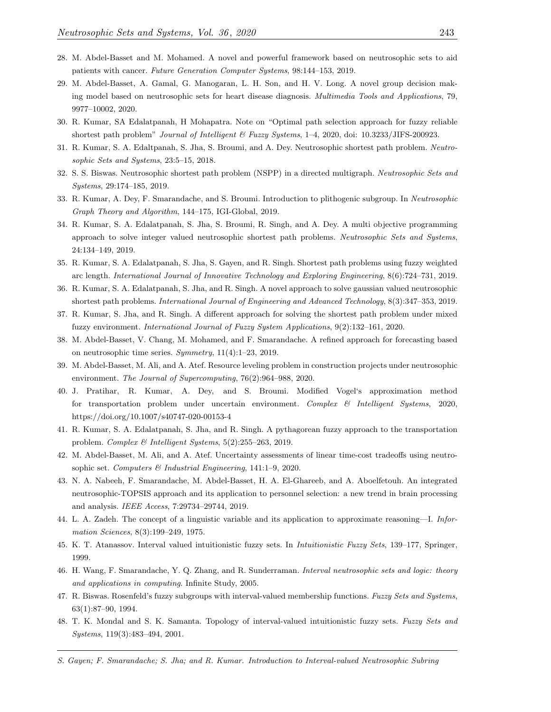- <span id="page-23-0"></span>28. M. Abdel-Basset and M. Mohamed. A novel and powerful framework based on neutrosophic sets to aid patients with cancer. Future Generation Computer Systems, 98:144–153, 2019.
- <span id="page-23-1"></span>29. M. Abdel-Basset, A. Gamal, G. Manogaran, L. H. Son, and H. V. Long. A novel group decision making model based on neutrosophic sets for heart disease diagnosis. Multimedia Tools and Applications, 79, 9977–10002, 2020.
- <span id="page-23-2"></span>30. R. Kumar, SA Edalatpanah, H Mohapatra. Note on "Optimal path selection approach for fuzzy reliable shortest path problem" Journal of Intelligent & Fuzzy Systems, 1-4, 2020, doi: 10.3233/JIFS-200923.
- 31. R. Kumar, S. A. Edaltpanah, S. Jha, S. Broumi, and A. Dey. Neutrosophic shortest path problem. Neutrosophic Sets and Systems, 23:5–15, 2018.
- 32. S. S. Biswas. Neutrosophic shortest path problem (NSPP) in a directed multigraph. Neutrosophic Sets and Systems, 29:174–185, 2019.
- 33. R. Kumar, A. Dey, F. Smarandache, and S. Broumi. Introduction to plithogenic subgroup. In Neutrosophic Graph Theory and Algorithm, 144–175, IGI-Global, 2019.
- 34. R. Kumar, S. A. Edalatpanah, S. Jha, S. Broumi, R. Singh, and A. Dey. A multi objective programming approach to solve integer valued neutrosophic shortest path problems. Neutrosophic Sets and Systems, 24:134–149, 2019.
- 35. R. Kumar, S. A. Edalatpanah, S. Jha, S. Gayen, and R. Singh. Shortest path problems using fuzzy weighted arc length. International Journal of Innovative Technology and Exploring Engineering, 8(6):724–731, 2019.
- 36. R. Kumar, S. A. Edalatpanah, S. Jha, and R. Singh. A novel approach to solve gaussian valued neutrosophic shortest path problems. International Journal of Engineering and Advanced Technology, 8(3):347–353, 2019.
- <span id="page-23-3"></span>37. R. Kumar, S. Jha, and R. Singh. A different approach for solving the shortest path problem under mixed fuzzy environment. International Journal of Fuzzy System Applications, 9(2):132–161, 2020.
- <span id="page-23-4"></span>38. M. Abdel-Basset, V. Chang, M. Mohamed, and F. Smarandache. A refined approach for forecasting based on neutrosophic time series. Symmetry, 11(4):1–23, 2019.
- <span id="page-23-5"></span>39. M. Abdel-Basset, M. Ali, and A. Atef. Resource leveling problem in construction projects under neutrosophic environment. The Journal of Supercomputing, 76(2):964–988, 2020.
- <span id="page-23-6"></span>40. J. Pratihar, R. Kumar, A. Dey, and S. Broumi. Modified Vogel's approximation method for transportation problem under uncertain environment. Complex  $\mathcal{B}$  Intelligent Systems, 2020, https://doi.org/10.1007/s40747-020-00153-4
- <span id="page-23-7"></span>41. R. Kumar, S. A. Edalatpanah, S. Jha, and R. Singh. A pythagorean fuzzy approach to the transportation problem. Complex & Intelligent Systems, 5(2):255–263, 2019.
- <span id="page-23-8"></span>42. M. Abdel-Basset, M. Ali, and A. Atef. Uncertainty assessments of linear time-cost tradeoffs using neutrosophic set. Computers & Industrial Engineering, 141:1–9, 2020.
- <span id="page-23-9"></span>43. N. A. Nabeeh, F. Smarandache, M. Abdel-Basset, H. A. El-Ghareeb, and A. Aboelfetouh. An integrated neutrosophic-TOPSIS approach and its application to personnel selection: a new trend in brain processing and analysis. IEEE Access, 7:29734–29744, 2019.
- <span id="page-23-10"></span>44. L. A. Zadeh. The concept of a linguistic variable and its application to approximate reasoning—I. Information Sciences, 8(3):199–249, 1975.
- <span id="page-23-11"></span>45. K. T. Atanassov. Interval valued intuitionistic fuzzy sets. In Intuitionistic Fuzzy Sets, 139–177, Springer, 1999.
- <span id="page-23-12"></span>46. H. Wang, F. Smarandache, Y. Q. Zhang, and R. Sunderraman. Interval neutrosophic sets and logic: theory and applications in computing. Infinite Study, 2005.
- <span id="page-23-13"></span>47. R. Biswas. Rosenfeld's fuzzy subgroups with interval-valued membership functions. Fuzzy Sets and Systems, 63(1):87–90, 1994.
- <span id="page-23-14"></span>48. T. K. Mondal and S. K. Samanta. Topology of interval-valued intuitionistic fuzzy sets. Fuzzy Sets and Systems, 119(3):483–494, 2001.
- S. Gayen; F. Smarandache; S. Jha; and R. Kumar. Introduction to Interval-valued Neutrosophic Subring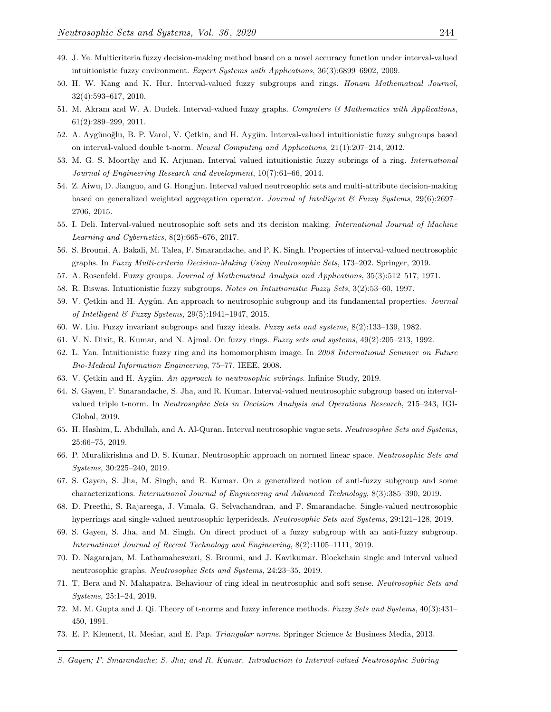- <span id="page-24-0"></span>49. J. Ye. Multicriteria fuzzy decision-making method based on a novel accuracy function under interval-valued intuitionistic fuzzy environment. Expert Systems with Applications, 36(3):6899–6902, 2009.
- <span id="page-24-1"></span>50. H. W. Kang and K. Hur. Interval-valued fuzzy subgroups and rings. Honam Mathematical Journal, 32(4):593–617, 2010.
- <span id="page-24-2"></span>51. M. Akram and W. A. Dudek. Interval-valued fuzzy graphs. Computers & Mathematics with Applications, 61(2):289–299, 2011.
- <span id="page-24-3"></span>52. A. Aygünoğlu, B. P. Varol, V. Çetkin, and H. Aygün. Interval-valued intuitionistic fuzzy subgroups based on interval-valued double t-norm. Neural Computing and Applications, 21(1):207–214, 2012.
- <span id="page-24-4"></span>53. M. G. S. Moorthy and K. Arjunan. Interval valued intuitionistic fuzzy subrings of a ring. International Journal of Engineering Research and development, 10(7):61–66, 2014.
- <span id="page-24-5"></span>54. Z. Aiwu, D. Jianguo, and G. Hongjun. Interval valued neutrosophic sets and multi-attribute decision-making based on generalized weighted aggregation operator. Journal of Intelligent & Fuzzy Systems, 29(6):2697– 2706, 2015.
- <span id="page-24-7"></span>55. I. Deli. Interval-valued neutrosophic soft sets and its decision making. International Journal of Machine Learning and Cybernetics, 8(2):665–676, 2017.
- <span id="page-24-6"></span>56. S. Broumi, A. Bakali, M. Talea, F. Smarandache, and P. K. Singh. Properties of interval-valued neutrosophic graphs. In Fuzzy Multi-criteria Decision-Making Using Neutrosophic Sets, 173–202. Springer, 2019.
- <span id="page-24-8"></span>57. A. Rosenfeld. Fuzzy groups. Journal of Mathematical Analysis and Applications, 35(3):512–517, 1971.
- <span id="page-24-9"></span>58. R. Biswas. Intuitionistic fuzzy subgroups. Notes on Intuitionistic Fuzzy Sets, 3(2):53–60, 1997.
- <span id="page-24-10"></span>59. V. Çetkin and H. Aygün. An approach to neutrosophic subgroup and its fundamental properties. Journal of Intelligent & Fuzzy Systems, 29(5):1941–1947, 2015.
- <span id="page-24-11"></span>60. W. Liu. Fuzzy invariant subgroups and fuzzy ideals. Fuzzy sets and systems, 8(2):133–139, 1982.
- <span id="page-24-12"></span>61. V. N. Dixit, R. Kumar, and N. Ajmal. On fuzzy rings. Fuzzy sets and systems, 49(2):205–213, 1992.
- <span id="page-24-13"></span>62. L. Yan. Intuitionistic fuzzy ring and its homomorphism image. In 2008 International Seminar on Future Bio-Medical Information Engineering, 75–77, IEEE, 2008.
- <span id="page-24-14"></span>63. V. Çetkin and H. Aygün. An approach to neutrosophic subrings. Infinite Study, 2019.
- <span id="page-24-15"></span>64. S. Gayen, F. Smarandache, S. Jha, and R. Kumar. Interval-valued neutrosophic subgroup based on intervalvalued triple t-norm. In Neutrosophic Sets in Decision Analysis and Operations Research, 215–243, IGI-Global, 2019.
- <span id="page-24-16"></span>65. H. Hashim, L. Abdullah, and A. Al-Quran. Interval neutrosophic vague sets. Neutrosophic Sets and Systems, 25:66–75, 2019.
- 66. P. Muralikrishna and D. S. Kumar. Neutrosophic approach on normed linear space. Neutrosophic Sets and Systems, 30:225–240, 2019.
- 67. S. Gayen, S. Jha, M. Singh, and R. Kumar. On a generalized notion of anti-fuzzy subgroup and some characterizations. International Journal of Engineering and Advanced Technology, 8(3):385–390, 2019.
- 68. D. Preethi, S. Rajareega, J. Vimala, G. Selvachandran, and F. Smarandache. Single-valued neutrosophic hyperrings and single-valued neutrosophic hyperideals. Neutrosophic Sets and Systems, 29:121–128, 2019.
- 69. S. Gayen, S. Jha, and M. Singh. On direct product of a fuzzy subgroup with an anti-fuzzy subgroup. International Journal of Recent Technology and Engineering, 8(2):1105–1111, 2019.
- 70. D. Nagarajan, M. Lathamaheswari, S. Broumi, and J. Kavikumar. Blockchain single and interval valued neutrosophic graphs. Neutrosophic Sets and Systems, 24:23–35, 2019.
- <span id="page-24-17"></span>71. T. Bera and N. Mahapatra. Behaviour of ring ideal in neutrosophic and soft sense. Neutrosophic Sets and Systems, 25:1–24, 2019.
- <span id="page-24-18"></span>72. M. M. Gupta and J. Qi. Theory of t-norms and fuzzy inference methods. Fuzzy Sets and Systems, 40(3):431– 450, 1991.
- <span id="page-24-19"></span>73. E. P. Klement, R. Mesiar, and E. Pap. Triangular norms. Springer Science & Business Media, 2013.
- S. Gayen; F. Smarandache; S. Jha; and R. Kumar. Introduction to Interval-valued Neutrosophic Subring